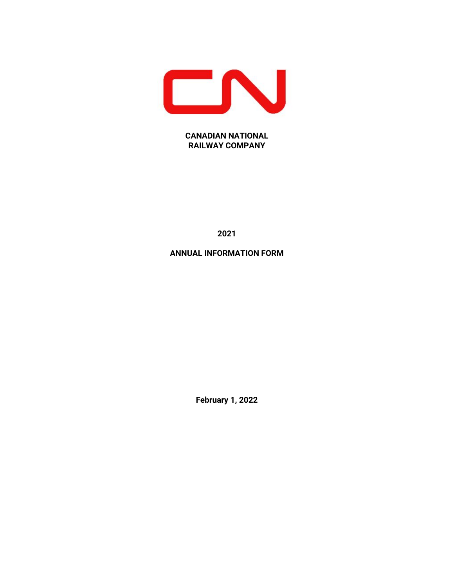

# **CANADIAN NATIONAL RAILWAY COMPANY**

**2021**

# **ANNUAL INFORMATION FORM**

**February 1, 2022**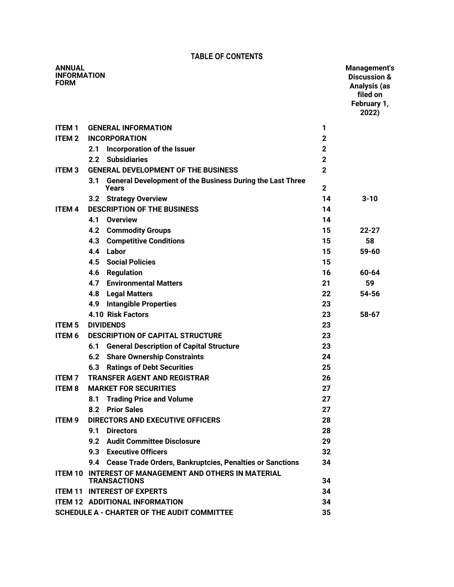# **TABLE OF CONTENTS**

| <b>ANNUAL</b><br><b>INFORMATION</b><br><b>FORM</b> |                                                                                  |                | Management's<br><b>Discussion &amp;</b><br>Analysis (as<br>filed on<br>February 1,<br>2022) |
|----------------------------------------------------|----------------------------------------------------------------------------------|----------------|---------------------------------------------------------------------------------------------|
| <b>ITEM1</b>                                       | <b>GENERAL INFORMATION</b>                                                       | 1              |                                                                                             |
| <b>ITEM2</b>                                       | <b>INCORPORATION</b>                                                             | $\mathbf 2$    |                                                                                             |
|                                                    | Incorporation of the Issuer<br>2.1                                               | $\mathbf 2$    |                                                                                             |
|                                                    | <b>Subsidiaries</b><br>2.2                                                       | $\mathbf 2$    |                                                                                             |
| <b>ITEM3</b>                                       | <b>GENERAL DEVELOPMENT OF THE BUSINESS</b>                                       | $\overline{2}$ |                                                                                             |
|                                                    | <b>General Development of the Business During the Last Three</b><br>3.1<br>Years | $\mathbf 2$    |                                                                                             |
|                                                    | 3.2 Strategy Overview                                                            | 14             | $3 - 10$                                                                                    |
| <b>ITEM 4</b>                                      | <b>DESCRIPTION OF THE BUSINESS</b>                                               | 14             |                                                                                             |
|                                                    | <b>Overview</b><br>4.1                                                           | 14             |                                                                                             |
|                                                    | <b>Commodity Groups</b><br>4.2                                                   | 15             | 22-27                                                                                       |
|                                                    | <b>Competitive Conditions</b><br>4.3                                             | 15             | 58                                                                                          |
|                                                    | Labor<br>4.4                                                                     | 15             | $59 - 60$                                                                                   |
|                                                    | 4.5<br><b>Social Policies</b>                                                    | 15             |                                                                                             |
|                                                    | <b>Regulation</b><br>4.6                                                         | 16             | 60-64                                                                                       |
|                                                    | <b>Environmental Matters</b><br>4.7                                              | 21             | 59                                                                                          |
|                                                    | <b>Legal Matters</b><br>4.8                                                      | 22             | 54-56                                                                                       |
|                                                    | 4.9<br><b>Intangible Properties</b>                                              | 23             |                                                                                             |
|                                                    | <b>4.10 Risk Factors</b>                                                         | 23             | 58-67                                                                                       |
| <b>ITEM 5</b>                                      | <b>DIVIDENDS</b>                                                                 | 23             |                                                                                             |
| <b>ITEM 6</b>                                      | <b>DESCRIPTION OF CAPITAL STRUCTURE</b>                                          | 23             |                                                                                             |
|                                                    | <b>General Description of Capital Structure</b><br>6.1                           | 23             |                                                                                             |
|                                                    | <b>6.2 Share Ownership Constraints</b>                                           | 24             |                                                                                             |
|                                                    | <b>Ratings of Debt Securities</b><br>6.3                                         | 25             |                                                                                             |
| <b>ITEM7</b>                                       | <b>TRANSFER AGENT AND REGISTRAR</b>                                              | 26             |                                                                                             |
| <b>ITEM 8</b>                                      | <b>MARKET FOR SECURITIES</b>                                                     | 27             |                                                                                             |
|                                                    | <b>Trading Price and Volume</b><br>8.1                                           | 27             |                                                                                             |
|                                                    | <b>Prior Sales</b><br>8.2                                                        | 27             |                                                                                             |
| <b>ITEM 9</b>                                      | <b>DIRECTORS AND EXECUTIVE OFFICERS</b>                                          | 28             |                                                                                             |
|                                                    | 9.1<br><b>Directors</b>                                                          | 28             |                                                                                             |
|                                                    | 9.2 Audit Committee Disclosure                                                   | 29             |                                                                                             |
|                                                    | 9.3 Executive Officers                                                           | 32             |                                                                                             |
|                                                    | 9.4 Cease Trade Orders, Bankruptcies, Penalties or Sanctions                     | 34             |                                                                                             |
|                                                    | ITEM 10 INTEREST OF MANAGEMENT AND OTHERS IN MATERIAL<br><b>TRANSACTIONS</b>     | 34             |                                                                                             |
|                                                    | <b>ITEM 11 INTEREST OF EXPERTS</b>                                               | 34             |                                                                                             |
|                                                    | <b>ITEM 12 ADDITIONAL INFORMATION</b>                                            | 34             |                                                                                             |
|                                                    | <b>SCHEDULE A - CHARTER OF THE AUDIT COMMITTEE</b>                               | 35             |                                                                                             |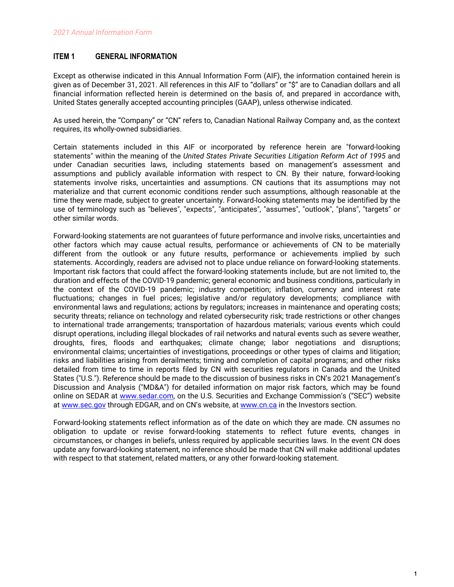# <span id="page-2-0"></span>**ITEM 1 GENERAL INFORMATION**

Except as otherwise indicated in this Annual Information Form (AIF), the information contained herein is given as of December 31, 2021. All references in this AIF to "dollars" or "\$" are to Canadian dollars and all financial information reflected herein is determined on the basis of, and prepared in accordance with, United States generally accepted accounting principles (GAAP), unless otherwise indicated.

As used herein, the "Company" or "CN" refers to, Canadian National Railway Company and, as the context requires, its wholly-owned subsidiaries.

Certain statements included in this AIF or incorporated by reference herein are "forward-looking statements" within the meaning of the *United States Private Securities Litigation Reform Act of 1995* and under Canadian securities laws, including statements based on management's assessment and assumptions and publicly available information with respect to CN. By their nature, forward-looking statements involve risks, uncertainties and assumptions. CN cautions that its assumptions may not materialize and that current economic conditions render such assumptions, although reasonable at the time they were made, subject to greater uncertainty. Forward-looking statements may be identified by the use of terminology such as "believes", "expects", "anticipates", "assumes", "outlook", "plans", "targets" or other similar words.

Forward-looking statements are not guarantees of future performance and involve risks, uncertainties and other factors which may cause actual results, performance or achievements of CN to be materially different from the outlook or any future results, performance or achievements implied by such statements. Accordingly, readers are advised not to place undue reliance on forward-looking statements. Important risk factors that could affect the forward-looking statements include, but are not limited to, the duration and effects of the COVID-19 pandemic; general economic and business conditions, particularly in the context of the COVID-19 pandemic; industry competition; inflation, currency and interest rate fluctuations; changes in fuel prices; legislative and/or regulatory developments; compliance with environmental laws and regulations; actions by regulators; increases in maintenance and operating costs; security threats; reliance on technology and related cybersecurity risk; trade restrictions or other changes to international trade arrangements; transportation of hazardous materials; various events which could disrupt operations, including illegal blockades of rail networks and natural events such as severe weather, droughts, fires, floods and earthquakes; climate change; labor negotiations and disruptions; environmental claims; uncertainties of investigations, proceedings or other types of claims and litigation; risks and liabilities arising from derailments; timing and completion of capital programs; and other risks detailed from time to time in reports filed by CN with securities regulators in Canada and the United States ("U.S."). Reference should be made to the discussion of business risks in CN's 2021 Management's Discussion and Analysis ("MD&A") for detailed information on major risk factors, which may be found online on SEDAR at [www.sedar.com](http://www.sedar.com), on the U.S. Securities and Exchange Commission's ("SEC") website at [www.sec.gov](http://www.sec.gov) through EDGAR, and on CN's website, at [www.cn.ca](http://www.cn.ca) in the Investors section.

Forward-looking statements reflect information as of the date on which they are made. CN assumes no obligation to update or revise forward-looking statements to reflect future events, changes in circumstances, or changes in beliefs, unless required by applicable securities laws. In the event CN does update any forward-looking statement, no inference should be made that CN will make additional updates with respect to that statement, related matters, or any other forward-looking statement.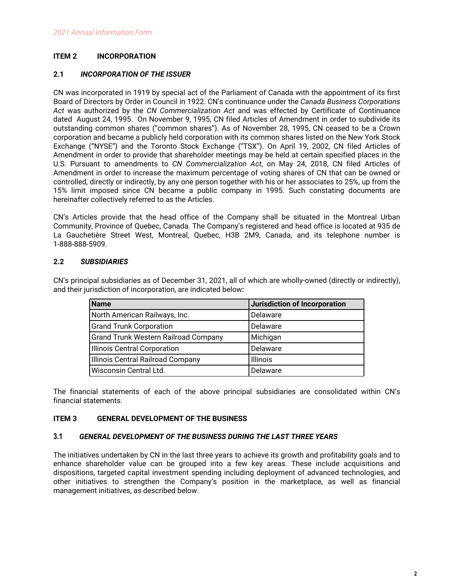# <span id="page-3-0"></span>**ITEM 2 INCORPORATION**

## **2.1** *INCORPORATION OF THE ISSUER*

CN was incorporated in 1919 by special act of the Parliament of Canada with the appointment of its first Board of Directors by Order in Council in 1922. CN's continuance under the *Canada Business Corporations Act* was authorized by the *CN Commercialization Act* and was effected by Certificate of Continuance dated August 24, 1995. On November 9, 1995, CN filed Articles of Amendment in order to subdivide its outstanding common shares ("common shares"). As of November 28, 1995, CN ceased to be a Crown corporation and became a publicly held corporation with its common shares listed on the New York Stock Exchange ("NYSE") and the Toronto Stock Exchange ("TSX"). On April 19, 2002, CN filed Articles of Amendment in order to provide that shareholder meetings may be held at certain specified places in the U.S. Pursuant to amendments to *CN Commercialization Act*, on May 24, 2018, CN filed Articles of Amendment in order to increase the maximum percentage of voting shares of CN that can be owned or controlled, directly or indirectly, by any one person together with his or her associates to 25%, up from the 15% limit imposed since CN became a public company in 1995. Such constating documents are hereinafter collectively referred to as the Articles.

CN's Articles provide that the head office of the Company shall be situated in the Montreal Urban Community, Province of Quebec, Canada. The Company's registered and head office is located at 935 de La Gauchetière Street West, Montreal, Quebec, H3B 2M9, Canada, and its telephone number is 1-888-888-5909.

# **2.2** *SUBSIDIARIES*

CN's principal subsidiaries as of December 31, 2021, all of which are wholly-owned (directly or indirectly), and their jurisdiction of incorporation, are indicated below**:**

| <b>Name</b>                                 | Jurisdiction of Incorporation |
|---------------------------------------------|-------------------------------|
| North American Railways, Inc.               | Delaware                      |
| <b>Grand Trunk Corporation</b>              | Delaware                      |
| <b>Grand Trunk Western Railroad Company</b> | Michigan                      |
| Illinois Central Corporation                | Delaware                      |
| Illinois Central Railroad Company           | <b>Illinois</b>               |
| Wisconsin Central Ltd.                      | Delaware                      |

The financial statements of each of the above principal subsidiaries are consolidated within CN's financial statements.

# **ITEM 3 GENERAL DEVELOPMENT OF THE BUSINESS**

## **3.1** *GENERAL DEVELOPMENT OF THE BUSINESS DURING THE LAST THREE YEARS*

The initiatives undertaken by CN in the last three years to achieve its growth and profitability goals and to enhance shareholder value can be grouped into a few key areas. These include acquisitions and dispositions, targeted capital investment spending including deployment of advanced technologies, and other initiatives to strengthen the Company's position in the marketplace, as well as financial management initiatives, as described below.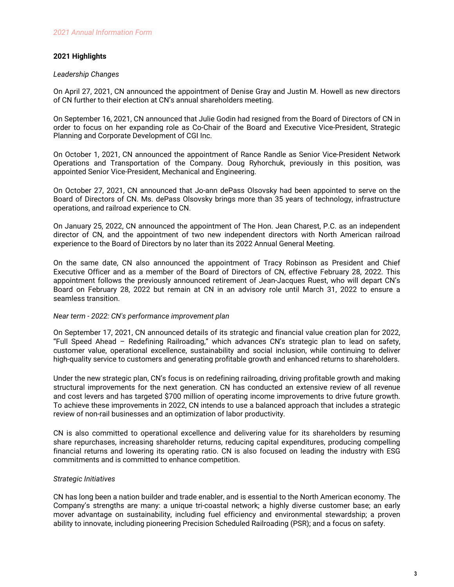## **2021 Highlights**

## *Leadership Changes*

On April 27, 2021, CN announced the appointment of Denise Gray and Justin M. Howell as new directors of CN further to their election at CN's annual shareholders meeting.

On September 16, 2021, CN announced that Julie Godin had resigned from the Board of Directors of CN in order to focus on her expanding role as Co-Chair of the Board and Executive Vice-President, Strategic Planning and Corporate Development of CGI Inc.

On October 1, 2021, CN announced the appointment of Rance Randle as Senior Vice-President Network Operations and Transportation of the Company. Doug Ryhorchuk, previously in this position, was appointed Senior Vice-President, Mechanical and Engineering.

On October 27, 2021, CN announced that Jo-ann dePass Olsovsky had been appointed to serve on the Board of Directors of CN. Ms. dePass Olsovsky brings more than 35 years of technology, infrastructure operations, and railroad experience to CN.

On January 25, 2022, CN announced the appointment of The Hon. Jean Charest, P.C. as an independent director of CN, and the appointment of two new independent directors with North American railroad experience to the Board of Directors by no later than its 2022 Annual General Meeting.

On the same date, CN also announced the appointment of Tracy Robinson as President and Chief Executive Officer and as a member of the Board of Directors of CN, effective February 28, 2022. This appointment follows the previously announced retirement of Jean-Jacques Ruest, who will depart CN's Board on February 28, 2022 but remain at CN in an advisory role until March 31, 2022 to ensure a seamless transition.

## *Near term - 2022: CN's performance improvement plan*

On September 17, 2021, CN announced details of its strategic and financial value creation plan for 2022, "Full Speed Ahead – Redefining Railroading," which advances CN's strategic plan to lead on safety, customer value, operational excellence, sustainability and social inclusion, while continuing to deliver high-quality service to customers and generating profitable growth and enhanced returns to shareholders.

Under the new strategic plan, CN's focus is on redefining railroading, driving profitable growth and making structural improvements for the next generation. CN has conducted an extensive review of all revenue and cost levers and has targeted \$700 million of operating income improvements to drive future growth. To achieve these improvements in 2022, CN intends to use a balanced approach that includes a strategic review of non-rail businesses and an optimization of labor productivity.

CN is also committed to operational excellence and delivering value for its shareholders by resuming share repurchases, increasing shareholder returns, reducing capital expenditures, producing compelling financial returns and lowering its operating ratio. CN is also focused on leading the industry with ESG commitments and is committed to enhance competition.

## *Strategic Initiatives*

CN has long been a nation builder and trade enabler, and is essential to the North American economy. The Company's strengths are many: a unique tri-coastal network; a highly diverse customer base; an early mover advantage on sustainability, including fuel efficiency and environmental stewardship; a proven ability to innovate, including pioneering Precision Scheduled Railroading (PSR); and a focus on safety.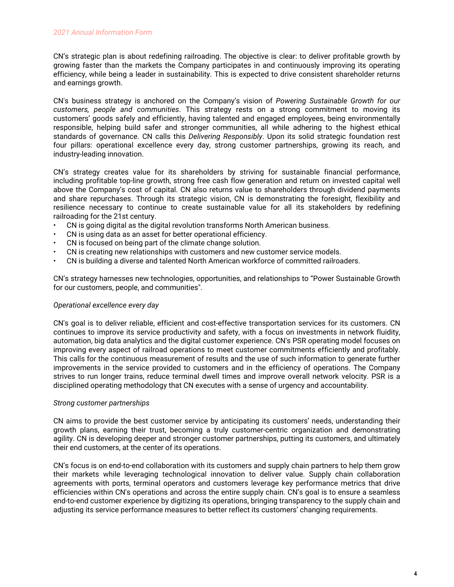## *2021 Annual Information Form*

CN's strategic plan is about redefining railroading. The objective is clear: to deliver profitable growth by growing faster than the markets the Company participates in and continuously improving its operating efficiency, while being a leader in sustainability. This is expected to drive consistent shareholder returns and earnings growth.

CN's business strategy is anchored on the Company's vision of *Powering Sustainable Growth for our customers, people and communities*. This strategy rests on a strong commitment to moving its customers' goods safely and efficiently, having talented and engaged employees, being environmentally responsible, helping build safer and stronger communities, all while adhering to the highest ethical standards of governance. CN calls this *Delivering Responsibly*. Upon its solid strategic foundation rest four pillars: operational excellence every day, strong customer partnerships, growing its reach, and industry-leading innovation.

CN's strategy creates value for its shareholders by striving for sustainable financial performance, including profitable top-line growth, strong free cash flow generation and return on invested capital well above the Company's cost of capital. CN also returns value to shareholders through dividend payments and share repurchases. Through its strategic vision, CN is demonstrating the foresight, flexibility and resilience necessary to continue to create sustainable value for all its stakeholders by redefining railroading for the 21st century.

- CN is going digital as the digital revolution transforms North American business.
- CN is using data as an asset for better operational efficiency.
- CN is focused on being part of the climate change solution.
- CN is creating new relationships with customers and new customer service models.
- CN is building a diverse and talented North American workforce of committed railroaders.

CN's strategy harnesses new technologies, opportunities, and relationships to "Power Sustainable Growth for our customers, people, and communities".

## *Operational excellence every day*

CN's goal is to deliver reliable, efficient and cost-effective transportation services for its customers. CN continues to improve its service productivity and safety, with a focus on investments in network fluidity, automation, big data analytics and the digital customer experience. CN's PSR operating model focuses on improving every aspect of railroad operations to meet customer commitments efficiently and profitably. This calls for the continuous measurement of results and the use of such information to generate further improvements in the service provided to customers and in the efficiency of operations. The Company strives to run longer trains, reduce terminal dwell times and improve overall network velocity. PSR is a disciplined operating methodology that CN executes with a sense of urgency and accountability.

## *Strong customer partnerships*

CN aims to provide the best customer service by anticipating its customers' needs, understanding their growth plans, earning their trust, becoming a truly customer-centric organization and demonstrating agility. CN is developing deeper and stronger customer partnerships, putting its customers, and ultimately their end customers, at the center of its operations.

CN's focus is on end-to-end collaboration with its customers and supply chain partners to help them grow their markets while leveraging technological innovation to deliver value. Supply chain collaboration agreements with ports, terminal operators and customers leverage key performance metrics that drive efficiencies within CN's operations and across the entire supply chain. CN's goal is to ensure a seamless end-to-end customer experience by digitizing its operations, bringing transparency to the supply chain and adjusting its service performance measures to better reflect its customers' changing requirements.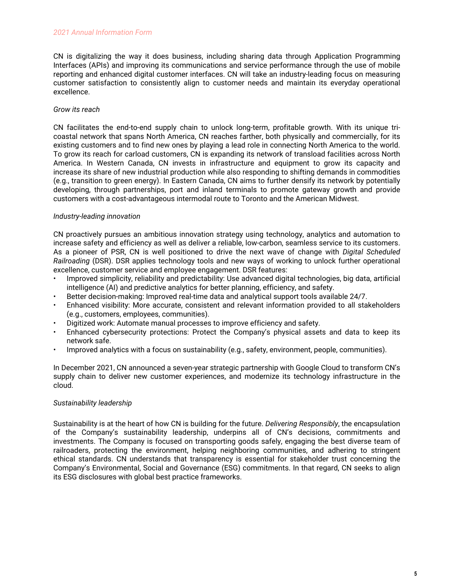CN is digitalizing the way it does business, including sharing data through Application Programming Interfaces (APIs) and improving its communications and service performance through the use of mobile reporting and enhanced digital customer interfaces. CN will take an industry-leading focus on measuring customer satisfaction to consistently align to customer needs and maintain its everyday operational excellence.

## *Grow its reach*

CN facilitates the end-to-end supply chain to unlock long-term, profitable growth. With its unique tricoastal network that spans North America, CN reaches farther, both physically and commercially, for its existing customers and to find new ones by playing a lead role in connecting North America to the world. To grow its reach for carload customers, CN is expanding its network of transload facilities across North America. In Western Canada, CN invests in infrastructure and equipment to grow its capacity and increase its share of new industrial production while also responding to shifting demands in commodities (e.g., transition to green energy). In Eastern Canada, CN aims to further densify its network by potentially developing, through partnerships, port and inland terminals to promote gateway growth and provide customers with a cost-advantageous intermodal route to Toronto and the American Midwest.

## *Industry-leading innovation*

CN proactively pursues an ambitious innovation strategy using technology, analytics and automation to increase safety and efficiency as well as deliver a reliable, low-carbon, seamless service to its customers. As a pioneer of PSR, CN is well positioned to drive the next wave of change with *Digital Scheduled Railroading* (DSR). DSR applies technology tools and new ways of working to unlock further operational excellence, customer service and employee engagement. DSR features:

- Improved simplicity, reliability and predictability: Use advanced digital technologies, big data, artificial intelligence (AI) and predictive analytics for better planning, efficiency, and safety.
- Better decision-making: Improved real-time data and analytical support tools available 24/7.
- Enhanced visibility: More accurate, consistent and relevant information provided to all stakeholders (e.g., customers, employees, communities).
- Digitized work: Automate manual processes to improve efficiency and safety.
- Enhanced cybersecurity protections: Protect the Company's physical assets and data to keep its network safe.
- Improved analytics with a focus on sustainability (e.g., safety, environment, people, communities).

In December 2021, CN announced a seven-year strategic partnership with Google Cloud to transform CN's supply chain to deliver new customer experiences, and modernize its technology infrastructure in the cloud.

# *Sustainability leadership*

Sustainability is at the heart of how CN is building for the future. *Delivering Responsibly*, the encapsulation of the Company's sustainability leadership, underpins all of CN's decisions, commitments and investments. The Company is focused on transporting goods safely, engaging the best diverse team of railroaders, protecting the environment, helping neighboring communities, and adhering to stringent ethical standards. CN understands that transparency is essential for stakeholder trust concerning the Company's Environmental, Social and Governance (ESG) commitments. In that regard, CN seeks to align its ESG disclosures with global best practice frameworks.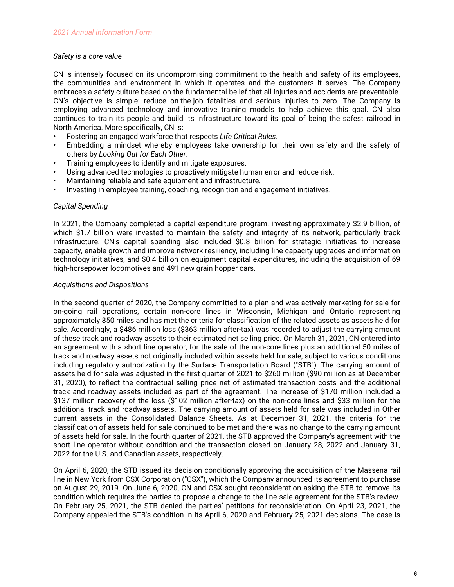## *Safety is a core value*

CN is intensely focused on its uncompromising commitment to the health and safety of its employees, the communities and environment in which it operates and the customers it serves. The Company embraces a safety culture based on the fundamental belief that all injuries and accidents are preventable. CN's objective is simple: reduce on-the-job fatalities and serious injuries to zero. The Company is employing advanced technology and innovative training models to help achieve this goal. CN also continues to train its people and build its infrastructure toward its goal of being the safest railroad in North America. More specifically, CN is:

- Fostering an engaged workforce that respects *Life Critical Rules*.
- Embedding a mindset whereby employees take ownership for their own safety and the safety of others by *Looking Out for Each Other*.
- Training employees to identify and mitigate exposures.
- Using advanced technologies to proactively mitigate human error and reduce risk.
- Maintaining reliable and safe equipment and infrastructure.
- Investing in employee training, coaching, recognition and engagement initiatives.

## *Capital Spending*

In 2021, the Company completed a capital expenditure program, investing approximately \$2.9 billion, of which \$1.7 billion were invested to maintain the safety and integrity of its network, particularly track infrastructure. CN's capital spending also included \$0.8 billion for strategic initiatives to increase capacity, enable growth and improve network resiliency, including line capacity upgrades and information technology initiatives, and \$0.4 billion on equipment capital expenditures, including the acquisition of 69 high-horsepower locomotives and 491 new grain hopper cars.

## *Acquisitions and Dispositions*

In the second quarter of 2020, the Company committed to a plan and was actively marketing for sale for on-going rail operations, certain non-core lines in Wisconsin, Michigan and Ontario representing approximately 850 miles and has met the criteria for classification of the related assets as assets held for sale. Accordingly, a \$486 million loss (\$363 million after-tax) was recorded to adjust the carrying amount of these track and roadway assets to their estimated net selling price. On March 31, 2021, CN entered into an agreement with a short line operator, for the sale of the non-core lines plus an additional 50 miles of track and roadway assets not originally included within assets held for sale, subject to various conditions including regulatory authorization by the Surface Transportation Board ("STB"). The carrying amount of assets held for sale was adjusted in the first quarter of 2021 to \$260 million (\$90 million as at December 31, 2020), to reflect the contractual selling price net of estimated transaction costs and the additional track and roadway assets included as part of the agreement. The increase of \$170 million included a \$137 million recovery of the loss (\$102 million after-tax) on the non-core lines and \$33 million for the additional track and roadway assets. The carrying amount of assets held for sale was included in Other current assets in the Consolidated Balance Sheets. As at December 31, 2021, the criteria for the classification of assets held for sale continued to be met and there was no change to the carrying amount of assets held for sale. In the fourth quarter of 2021, the STB approved the Company's agreement with the short line operator without condition and the transaction closed on January 28, 2022 and January 31, 2022 for the U.S. and Canadian assets, respectively.

On April 6, 2020, the STB issued its decision conditionally approving the acquisition of the Massena rail line in New York from CSX Corporation ("CSX"), which the Company announced its agreement to purchase on August 29, 2019. On June 6, 2020, CN and CSX sought reconsideration asking the STB to remove its condition which requires the parties to propose a change to the line sale agreement for the STB's review. On February 25, 2021, the STB denied the parties' petitions for reconsideration. On April 23, 2021, the Company appealed the STB's condition in its April 6, 2020 and February 25, 2021 decisions. The case is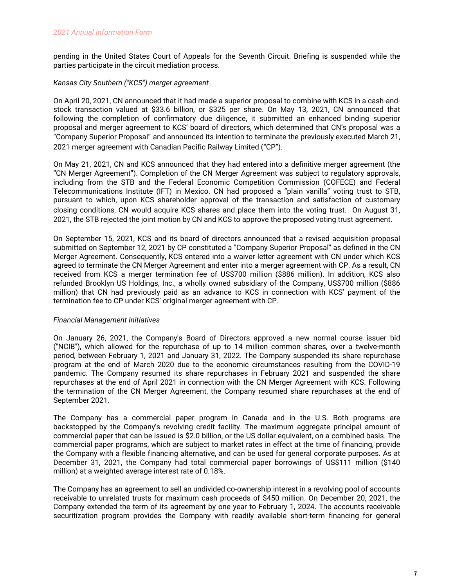pending in the United States Court of Appeals for the Seventh Circuit. Briefing is suspended while the parties participate in the circuit mediation process.

## *Kansas City Southern ("KCS") merger agreement*

On April 20, 2021, CN announced that it had made a superior proposal to combine with KCS in a cash-andstock transaction valued at \$33.6 billion, or \$325 per share. On May 13, 2021, CN announced that following the completion of confirmatory due diligence, it submitted an enhanced binding superior proposal and merger agreement to KCS' board of directors, which determined that CN's proposal was a "Company Superior Proposal" and announced its intention to terminate the previously executed March 21, 2021 merger agreement with Canadian Pacific Railway Limited ("CP").

On May 21, 2021, CN and KCS announced that they had entered into a definitive merger agreement (the "CN Merger Agreement"). Completion of the CN Merger Agreement was subject to regulatory approvals, including from the STB and the Federal Economic Competition Commission (COFECE) and Federal Telecommunications Institute (IFT) in Mexico. CN had proposed a "plain vanilla" voting trust to STB, pursuant to which, upon KCS shareholder approval of the transaction and satisfaction of customary closing conditions, CN would acquire KCS shares and place them into the voting trust. On August 31, 2021, the STB rejected the joint motion by CN and KCS to approve the proposed voting trust agreement.

On September 15, 2021, KCS and its board of directors announced that a revised acquisition proposal submitted on September 12, 2021 by CP constituted a "Company Superior Proposal" as defined in the CN Merger Agreement. Consequently, KCS entered into a waiver letter agreement with CN under which KCS agreed to terminate the CN Merger Agreement and enter into a merger agreement with CP. As a result, CN received from KCS a merger termination fee of US\$700 million (\$886 million). In addition, KCS also refunded Brooklyn US Holdings, Inc., a wholly owned subsidiary of the Company, US\$700 million (\$886 million) that CN had previously paid as an advance to KCS in connection with KCS' payment of the termination fee to CP under KCS' original merger agreement with CP.

## *Financial Management Initiatives*

On January 26, 2021, the Company's Board of Directors approved a new normal course issuer bid ("NCIB"), which allowed for the repurchase of up to 14 million common shares, over a twelve-month period, between February 1, 2021 and January 31, 2022. The Company suspended its share repurchase program at the end of March 2020 due to the economic circumstances resulting from the COVID-19 pandemic. The Company resumed its share repurchases in February 2021 and suspended the share repurchases at the end of April 2021 in connection with the CN Merger Agreement with KCS. Following the termination of the CN Merger Agreement, the Company resumed share repurchases at the end of September 2021.

The Company has a commercial paper program in Canada and in the U.S. Both programs are backstopped by the Company's revolving credit facility. The maximum aggregate principal amount of commercial paper that can be issued is \$2.0 billion, or the US dollar equivalent, on a combined basis. The commercial paper programs, which are subject to market rates in effect at the time of financing, provide the Company with a flexible financing alternative, and can be used for general corporate purposes. As at December 31, 2021, the Company had total commercial paper borrowings of US\$111 million (\$140 million) at a weighted average interest rate of 0.18%.

The Company has an agreement to sell an undivided co-ownership interest in a revolving pool of accounts receivable to unrelated trusts for maximum cash proceeds of \$450 million. On December 20, 2021, the Company extended the term of its agreement by one year to February 1, 2024. The accounts receivable securitization program provides the Company with readily available short-term financing for general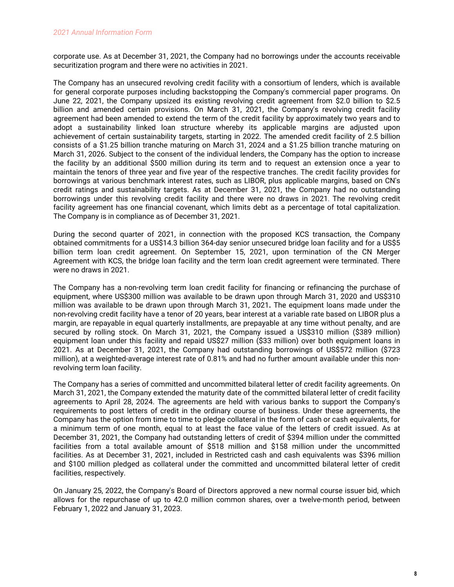corporate use. As at December 31, 2021, the Company had no borrowings under the accounts receivable securitization program and there were no activities in 2021.

The Company has an unsecured revolving credit facility with a consortium of lenders, which is available for general corporate purposes including backstopping the Company's commercial paper programs. On June 22, 2021, the Company upsized its existing revolving credit agreement from \$2.0 billion to \$2.5 billion and amended certain provisions. On March 31, 2021, the Company's revolving credit facility agreement had been amended to extend the term of the credit facility by approximately two years and to adopt a sustainability linked loan structure whereby its applicable margins are adjusted upon achievement of certain sustainability targets, starting in 2022. The amended credit facility of 2.5 billion consists of a \$1.25 billion tranche maturing on March 31, 2024 and a \$1.25 billion tranche maturing on March 31, 2026. Subject to the consent of the individual lenders, the Company has the option to increase the facility by an additional \$500 million during its term and to request an extension once a year to maintain the tenors of three year and five year of the respective tranches. The credit facility provides for borrowings at various benchmark interest rates, such as LIBOR, plus applicable margins, based on CN's credit ratings and sustainability targets. As at December 31, 2021, the Company had no outstanding borrowings under this revolving credit facility and there were no draws in 2021. The revolving credit facility agreement has one financial covenant, which limits debt as a percentage of total capitalization. The Company is in compliance as of December 31, 2021.

During the second quarter of 2021, in connection with the proposed KCS transaction, the Company obtained commitments for a US\$14.3 billion 364-day senior unsecured bridge loan facility and for a US\$5 billion term loan credit agreement. On September 15, 2021, upon termination of the CN Merger Agreement with KCS, the bridge loan facility and the term loan credit agreement were terminated. There were no draws in 2021.

The Company has a non-revolving term loan credit facility for financing or refinancing the purchase of equipment, where US\$300 million was available to be drawn upon through March 31, 2020 and US\$310 million was available to be drawn upon through March 31, 2021**.** The equipment loans made under the non-revolving credit facility have a tenor of 20 years, bear interest at a variable rate based on LIBOR plus a margin, are repayable in equal quarterly installments, are prepayable at any time without penalty, and are secured by rolling stock. On March 31, 2021, the Company issued a US\$310 million (\$389 million) equipment loan under this facility and repaid US\$27 million (\$33 million) over both equipment loans in 2021. As at December 31, 2021, the Company had outstanding borrowings of US\$572 million (\$723 million), at a weighted-average interest rate of 0.81% and had no further amount available under this nonrevolving term loan facility.

The Company has a series of committed and uncommitted bilateral letter of credit facility agreements. On March 31, 2021, the Company extended the maturity date of the committed bilateral letter of credit facility agreements to April 28, 2024. The agreements are held with various banks to support the Company's requirements to post letters of credit in the ordinary course of business. Under these agreements, the Company has the option from time to time to pledge collateral in the form of cash or cash equivalents, for a minimum term of one month, equal to at least the face value of the letters of credit issued. As at December 31, 2021, the Company had outstanding letters of credit of \$394 million under the committed facilities from a total available amount of \$518 million and \$158 million under the uncommitted facilities. As at December 31, 2021, included in Restricted cash and cash equivalents was \$396 million and \$100 million pledged as collateral under the committed and uncommitted bilateral letter of credit facilities, respectively.

On January 25, 2022, the Company's Board of Directors approved a new normal course issuer bid, which allows for the repurchase of up to 42.0 million common shares, over a twelve-month period, between February 1, 2022 and January 31, 2023.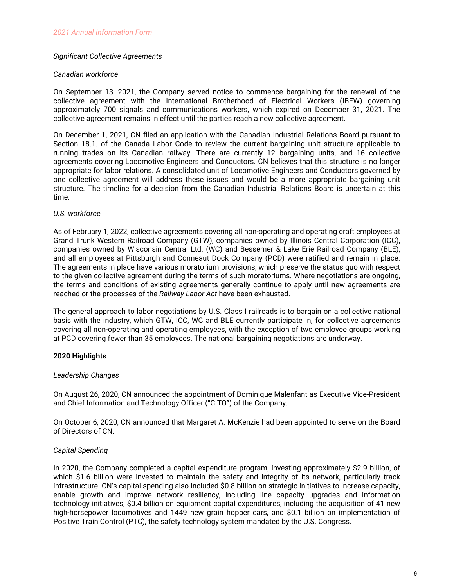## *Significant Collective Agreements*

#### *Canadian workforce*

On September 13, 2021, the Company served notice to commence bargaining for the renewal of the collective agreement with the International Brotherhood of Electrical Workers (IBEW) governing approximately 700 signals and communications workers, which expired on December 31, 2021. The collective agreement remains in effect until the parties reach a new collective agreement.

On December 1, 2021, CN filed an application with the Canadian Industrial Relations Board pursuant to Section 18.1. of the Canada Labor Code to review the current bargaining unit structure applicable to running trades on its Canadian railway. There are currently 12 bargaining units, and 16 collective agreements covering Locomotive Engineers and Conductors. CN believes that this structure is no longer appropriate for labor relations. A consolidated unit of Locomotive Engineers and Conductors governed by one collective agreement will address these issues and would be a more appropriate bargaining unit structure. The timeline for a decision from the Canadian Industrial Relations Board is uncertain at this time.

## *U.S. workforce*

As of February 1, 2022, collective agreements covering all non-operating and operating craft employees at Grand Trunk Western Railroad Company (GTW), companies owned by Illinois Central Corporation (ICC), companies owned by Wisconsin Central Ltd. (WC) and Bessemer & Lake Erie Railroad Company (BLE), and all employees at Pittsburgh and Conneaut Dock Company (PCD) were ratified and remain in place. The agreements in place have various moratorium provisions, which preserve the status quo with respect to the given collective agreement during the terms of such moratoriums. Where negotiations are ongoing, the terms and conditions of existing agreements generally continue to apply until new agreements are reached or the processes of the *Railway Labor Act* have been exhausted.

The general approach to labor negotiations by U.S. Class I railroads is to bargain on a collective national basis with the industry, which GTW, ICC, WC and BLE currently participate in, for collective agreements covering all non-operating and operating employees, with the exception of two employee groups working at PCD covering fewer than 35 employees. The national bargaining negotiations are underway.

## **2020 Highlights**

#### *Leadership Changes*

On August 26, 2020, CN announced the appointment of Dominique Malenfant as Executive Vice-President and Chief Information and Technology Officer ("CITO") of the Company.

On October 6, 2020, CN announced that Margaret A. McKenzie had been appointed to serve on the Board of Directors of CN.

## *Capital Spending*

In 2020, the Company completed a capital expenditure program, investing approximately \$2.9 billion, of which \$1.6 billion were invested to maintain the safety and integrity of its network, particularly track infrastructure. CN's capital spending also included \$0.8 billion on strategic initiatives to increase capacity, enable growth and improve network resiliency, including line capacity upgrades and information technology initiatives, \$0.4 billion on equipment capital expenditures, including the acquisition of 41 new high-horsepower locomotives and 1449 new grain hopper cars, and \$0.1 billion on implementation of Positive Train Control (PTC), the safety technology system mandated by the U.S. Congress.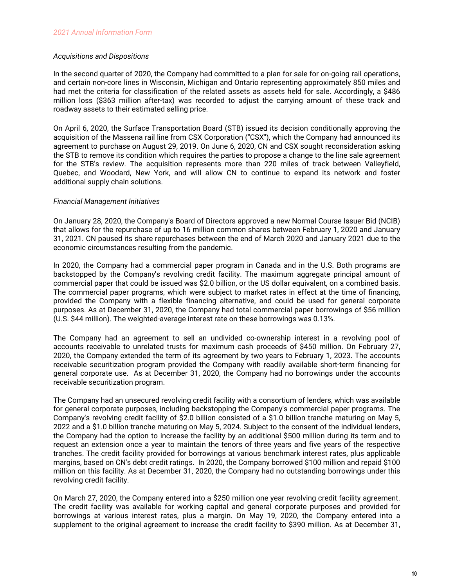## *Acquisitions and Dispositions*

In the second quarter of 2020, the Company had committed to a plan for sale for on-going rail operations, and certain non-core lines in Wisconsin, Michigan and Ontario representing approximately 850 miles and had met the criteria for classification of the related assets as assets held for sale. Accordingly, a \$486 million loss (\$363 million after-tax) was recorded to adjust the carrying amount of these track and roadway assets to their estimated selling price.

On April 6, 2020, the Surface Transportation Board (STB) issued its decision conditionally approving the acquisition of the Massena rail line from CSX Corporation ("CSX"), which the Company had announced its agreement to purchase on August 29, 2019. On June 6, 2020, CN and CSX sought reconsideration asking the STB to remove its condition which requires the parties to propose a change to the line sale agreement for the STB's review. The acquisition represents more than 220 miles of track between Valleyfield, Quebec, and Woodard, New York, and will allow CN to continue to expand its network and foster additional supply chain solutions.

## *Financial Management Initiatives*

On January 28, 2020, the Company's Board of Directors approved a new Normal Course Issuer Bid (NCIB) that allows for the repurchase of up to 16 million common shares between February 1, 2020 and January 31, 2021. CN paused its share repurchases between the end of March 2020 and January 2021 due to the economic circumstances resulting from the pandemic.

In 2020, the Company had a commercial paper program in Canada and in the U.S. Both programs are backstopped by the Company's revolving credit facility. The maximum aggregate principal amount of commercial paper that could be issued was \$2.0 billion, or the US dollar equivalent, on a combined basis. The commercial paper programs, which were subject to market rates in effect at the time of financing, provided the Company with a flexible financing alternative, and could be used for general corporate purposes. As at December 31, 2020, the Company had total commercial paper borrowings of \$56 million (U.S. \$44 million). The weighted-average interest rate on these borrowings was 0.13%.

The Company had an agreement to sell an undivided co-ownership interest in a revolving pool of accounts receivable to unrelated trusts for maximum cash proceeds of \$450 million. On February 27, 2020, the Company extended the term of its agreement by two years to February 1, 2023. The accounts receivable securitization program provided the Company with readily available short-term financing for general corporate use. As at December 31, 2020, the Company had no borrowings under the accounts receivable securitization program.

The Company had an unsecured revolving credit facility with a consortium of lenders, which was available for general corporate purposes, including backstopping the Company's commercial paper programs. The Company's revolving credit facility of \$2.0 billion consisted of a \$1.0 billion tranche maturing on May 5, 2022 and a \$1.0 billion tranche maturing on May 5, 2024. Subject to the consent of the individual lenders, the Company had the option to increase the facility by an additional \$500 million during its term and to request an extension once a year to maintain the tenors of three years and five years of the respective tranches. The credit facility provided for borrowings at various benchmark interest rates, plus applicable margins, based on CN's debt credit ratings. In 2020, the Company borrowed \$100 million and repaid \$100 million on this facility. As at December 31, 2020, the Company had no outstanding borrowings under this revolving credit facility.

On March 27, 2020, the Company entered into a \$250 million one year revolving credit facility agreement. The credit facility was available for working capital and general corporate purposes and provided for borrowings at various interest rates, plus a margin. On May 19, 2020, the Company entered into a supplement to the original agreement to increase the credit facility to \$390 million. As at December 31,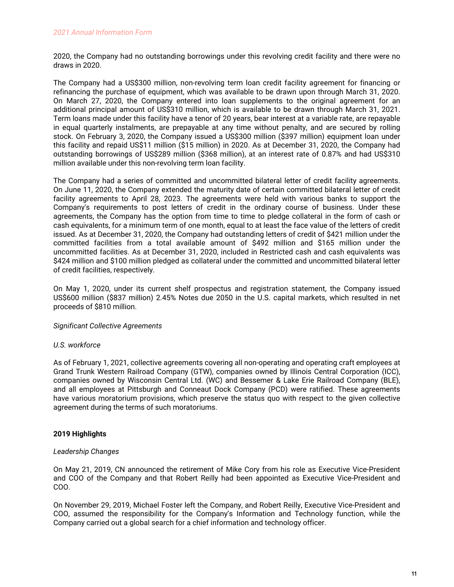2020, the Company had no outstanding borrowings under this revolving credit facility and there were no draws in 2020.

The Company had a US\$300 million, non-revolving term loan credit facility agreement for financing or refinancing the purchase of equipment, which was available to be drawn upon through March 31, 2020. On March 27, 2020, the Company entered into loan supplements to the original agreement for an additional principal amount of US\$310 million, which is available to be drawn through March 31, 2021. Term loans made under this facility have a tenor of 20 years, bear interest at a variable rate, are repayable in equal quarterly instalments, are prepayable at any time without penalty, and are secured by rolling stock. On February 3, 2020, the Company issued a US\$300 million (\$397 million) equipment loan under this facility and repaid US\$11 million (\$15 million) in 2020. As at December 31, 2020, the Company had outstanding borrowings of US\$289 million (\$368 million), at an interest rate of 0.87% and had US\$310 million available under this non-revolving term loan facility.

The Company had a series of committed and uncommitted bilateral letter of credit facility agreements. On June 11, 2020, the Company extended the maturity date of certain committed bilateral letter of credit facility agreements to April 28, 2023. The agreements were held with various banks to support the Company's requirements to post letters of credit in the ordinary course of business. Under these agreements, the Company has the option from time to time to pledge collateral in the form of cash or cash equivalents, for a minimum term of one month, equal to at least the face value of the letters of credit issued. As at December 31, 2020, the Company had outstanding letters of credit of \$421 million under the committed facilities from a total available amount of \$492 million and \$165 million under the uncommitted facilities. As at December 31, 2020, included in Restricted cash and cash equivalents was \$424 million and \$100 million pledged as collateral under the committed and uncommitted bilateral letter of credit facilities, respectively.

On May 1, 2020, under its current shelf prospectus and registration statement, the Company issued US\$600 million (\$837 million) 2.45% Notes due 2050 in the U.S. capital markets, which resulted in net proceeds of \$810 million.

## *Significant Collective Agreements*

## *U.S. workforce*

As of February 1, 2021, collective agreements covering all non-operating and operating craft employees at Grand Trunk Western Railroad Company (GTW), companies owned by Illinois Central Corporation (ICC), companies owned by Wisconsin Central Ltd. (WC) and Bessemer & Lake Erie Railroad Company (BLE), and all employees at Pittsburgh and Conneaut Dock Company (PCD) were ratified. These agreements have various moratorium provisions, which preserve the status quo with respect to the given collective agreement during the terms of such moratoriums.

# **2019 Highlights**

## *Leadership Changes*

On May 21, 2019, CN announced the retirement of Mike Cory from his role as Executive Vice-President and COO of the Company and that Robert Reilly had been appointed as Executive Vice-President and COO.

On November 29, 2019, Michael Foster left the Company, and Robert Reilly, Executive Vice-President and COO, assumed the responsibility for the Company's Information and Technology function, while the Company carried out a global search for a chief information and technology officer.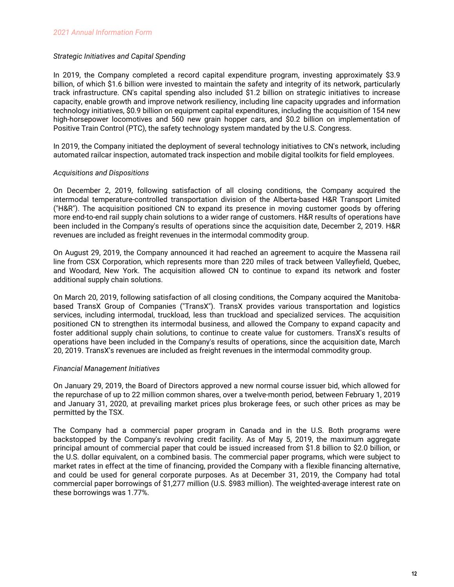## *Strategic Initiatives and Capital Spending*

In 2019, the Company completed a record capital expenditure program, investing approximately \$3.9 billion, of which \$1.6 billion were invested to maintain the safety and integrity of its network, particularly track infrastructure. CN's capital spending also included \$1.2 billion on strategic initiatives to increase capacity, enable growth and improve network resiliency, including line capacity upgrades and information technology initiatives, \$0.9 billion on equipment capital expenditures, including the acquisition of 154 new high-horsepower locomotives and 560 new grain hopper cars, and \$0.2 billion on implementation of Positive Train Control (PTC), the safety technology system mandated by the U.S. Congress.

In 2019, the Company initiated the deployment of several technology initiatives to CN's network, including automated railcar inspection, automated track inspection and mobile digital toolkits for field employees.

## *Acquisitions and Dispositions*

On December 2, 2019, following satisfaction of all closing conditions, the Company acquired the intermodal temperature-controlled transportation division of the Alberta-based H&R Transport Limited ("H&R"). The acquisition positioned CN to expand its presence in moving customer goods by offering more end-to-end rail supply chain solutions to a wider range of customers. H&R results of operations have been included in the Company's results of operations since the acquisition date, December 2, 2019. H&R revenues are included as freight revenues in the intermodal commodity group.

On August 29, 2019, the Company announced it had reached an agreement to acquire the Massena rail line from CSX Corporation, which represents more than 220 miles of track between Valleyfield, Quebec, and Woodard, New York. The acquisition allowed CN to continue to expand its network and foster additional supply chain solutions.

On March 20, 2019, following satisfaction of all closing conditions, the Company acquired the Manitobabased TransX Group of Companies ("TransX"). TransX provides various transportation and logistics services, including intermodal, truckload, less than truckload and specialized services. The acquisition positioned CN to strengthen its intermodal business, and allowed the Company to expand capacity and foster additional supply chain solutions, to continue to create value for customers. TransX's results of operations have been included in the Company's results of operations, since the acquisition date, March 20, 2019. TransX's revenues are included as freight revenues in the intermodal commodity group.

## *Financial Management Initiatives*

On January 29, 2019, the Board of Directors approved a new normal course issuer bid, which allowed for the repurchase of up to 22 million common shares, over a twelve-month period, between February 1, 2019 and January 31, 2020, at prevailing market prices plus brokerage fees, or such other prices as may be permitted by the TSX.

The Company had a commercial paper program in Canada and in the U.S. Both programs were backstopped by the Company's revolving credit facility. As of May 5, 2019, the maximum aggregate principal amount of commercial paper that could be issued increased from \$1.8 billion to \$2.0 billion, or the U.S. dollar equivalent, on a combined basis. The commercial paper programs, which were subject to market rates in effect at the time of financing, provided the Company with a flexible financing alternative, and could be used for general corporate purposes. As at December 31, 2019, the Company had total commercial paper borrowings of \$1,277 million (U.S. \$983 million). The weighted-average interest rate on these borrowings was 1.77%.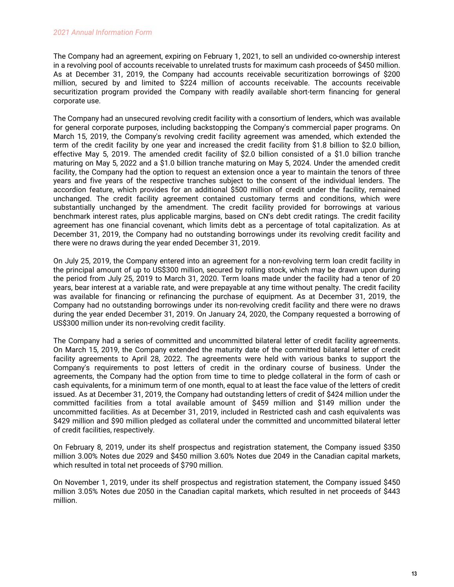The Company had an agreement, expiring on February 1, 2021, to sell an undivided co-ownership interest in a revolving pool of accounts receivable to unrelated trusts for maximum cash proceeds of \$450 million. As at December 31, 2019, the Company had accounts receivable securitization borrowings of \$200 million, secured by and limited to \$224 million of accounts receivable. The accounts receivable securitization program provided the Company with readily available short-term financing for general corporate use.

The Company had an unsecured revolving credit facility with a consortium of lenders, which was available for general corporate purposes, including backstopping the Company's commercial paper programs. On March 15, 2019, the Company's revolving credit facility agreement was amended, which extended the term of the credit facility by one year and increased the credit facility from \$1.8 billion to \$2.0 billion, effective May 5, 2019. The amended credit facility of \$2.0 billion consisted of a \$1.0 billion tranche maturing on May 5, 2022 and a \$1.0 billion tranche maturing on May 5, 2024. Under the amended credit facility, the Company had the option to request an extension once a year to maintain the tenors of three years and five years of the respective tranches subject to the consent of the individual lenders. The accordion feature, which provides for an additional \$500 million of credit under the facility, remained unchanged. The credit facility agreement contained customary terms and conditions, which were substantially unchanged by the amendment. The credit facility provided for borrowings at various benchmark interest rates, plus applicable margins, based on CN's debt credit ratings. The credit facility agreement has one financial covenant, which limits debt as a percentage of total capitalization. As at December 31, 2019, the Company had no outstanding borrowings under its revolving credit facility and there were no draws during the year ended December 31, 2019.

On July 25, 2019, the Company entered into an agreement for a non-revolving term loan credit facility in the principal amount of up to US\$300 million, secured by rolling stock, which may be drawn upon during the period from July 25, 2019 to March 31, 2020. Term loans made under the facility had a tenor of 20 years, bear interest at a variable rate, and were prepayable at any time without penalty. The credit facility was available for financing or refinancing the purchase of equipment. As at December 31, 2019, the Company had no outstanding borrowings under its non-revolving credit facility and there were no draws during the year ended December 31, 2019. On January 24, 2020, the Company requested a borrowing of US\$300 million under its non-revolving credit facility.

The Company had a series of committed and uncommitted bilateral letter of credit facility agreements. On March 15, 2019, the Company extended the maturity date of the committed bilateral letter of credit facility agreements to April 28, 2022. The agreements were held with various banks to support the Company's requirements to post letters of credit in the ordinary course of business. Under the agreements, the Company had the option from time to time to pledge collateral in the form of cash or cash equivalents, for a minimum term of one month, equal to at least the face value of the letters of credit issued. As at December 31, 2019, the Company had outstanding letters of credit of \$424 million under the committed facilities from a total available amount of \$459 million and \$149 million under the uncommitted facilities. As at December 31, 2019, included in Restricted cash and cash equivalents was \$429 million and \$90 million pledged as collateral under the committed and uncommitted bilateral letter of credit facilities, respectively.

On February 8, 2019, under its shelf prospectus and registration statement, the Company issued \$350 million 3.00% Notes due 2029 and \$450 million 3.60% Notes due 2049 in the Canadian capital markets, which resulted in total net proceeds of \$790 million.

On November 1, 2019, under its shelf prospectus and registration statement, the Company issued \$450 million 3.05% Notes due 2050 in the Canadian capital markets, which resulted in net proceeds of \$443 million.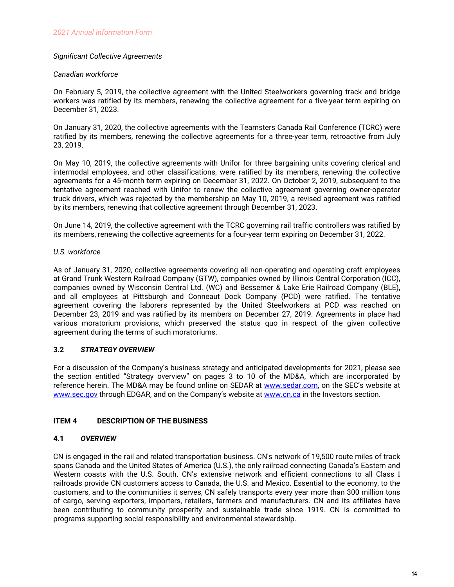## <span id="page-15-0"></span>*Significant Collective Agreements*

## *Canadian workforce*

On February 5, 2019, the collective agreement with the United Steelworkers governing track and bridge workers was ratified by its members, renewing the collective agreement for a five-year term expiring on December 31, 2023.

On January 31, 2020, the collective agreements with the Teamsters Canada Rail Conference (TCRC) were ratified by its members, renewing the collective agreements for a three-year term, retroactive from July 23, 2019.

On May 10, 2019, the collective agreements with Unifor for three bargaining units covering clerical and intermodal employees, and other classifications, were ratified by its members, renewing the collective agreements for a 45-month term expiring on December 31, 2022. On October 2, 2019, subsequent to the tentative agreement reached with Unifor to renew the collective agreement governing owner-operator truck drivers, which was rejected by the membership on May 10, 2019, a revised agreement was ratified by its members, renewing that collective agreement through December 31, 2023.

On June 14, 2019, the collective agreement with the TCRC governing rail traffic controllers was ratified by its members, renewing the collective agreements for a four-year term expiring on December 31, 2022.

## *U.S. workforce*

As of January 31, 2020, collective agreements covering all non-operating and operating craft employees at Grand Trunk Western Railroad Company (GTW), companies owned by Illinois Central Corporation (ICC), companies owned by Wisconsin Central Ltd. (WC) and Bessemer & Lake Erie Railroad Company (BLE), and all employees at Pittsburgh and Conneaut Dock Company (PCD) were ratified. The tentative agreement covering the laborers represented by the United Steelworkers at PCD was reached on December 23, 2019 and was ratified by its members on December 27, 2019. Agreements in place had various moratorium provisions, which preserved the status quo in respect of the given collective agreement during the terms of such moratoriums.

# **3.2** *STRATEGY OVERVIEW*

For a discussion of the Company's business strategy and anticipated developments for 2021, please see the section entitled "Strategy overview" on pages 3 to 10 of the MD&A, which are incorporated by reference herein. The MD&A may be found online on SEDAR at [www.sedar.com,](http://www.sedar.com) on the SEC's website at [www.sec.gov](http://www.sec.gov) through EDGAR, and on the Company's website at [www.cn.ca](http://www.cn.ca) in the Investors section.

# **ITEM 4 DESCRIPTION OF THE BUSINESS**

## **4.1** *OVERVIEW*

CN is engaged in the rail and related transportation business. CN's network of 19,500 route miles of track spans Canada and the United States of America (U.S.), the only railroad connecting Canada's Eastern and Western coasts with the U.S. South. CN's extensive network and efficient connections to all Class I railroads provide CN customers access to Canada, the U.S. and Mexico. Essential to the economy, to the customers, and to the communities it serves, CN safely transports every year more than 300 million tons of cargo, serving exporters, importers, retailers, farmers and manufacturers. CN and its affiliates have been contributing to community prosperity and sustainable trade since 1919. CN is committed to programs supporting social responsibility and environmental stewardship.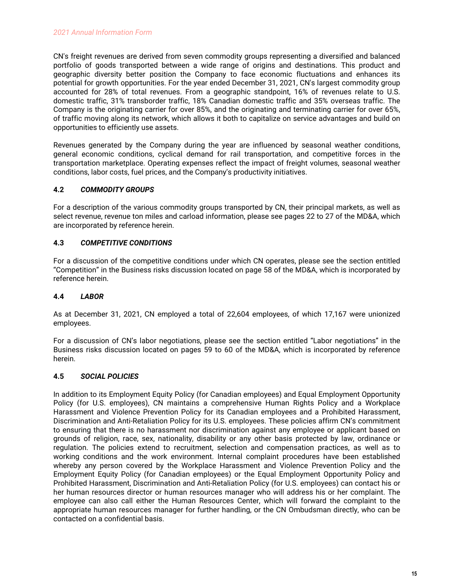<span id="page-16-0"></span>CN's freight revenues are derived from seven commodity groups representing a diversified and balanced portfolio of goods transported between a wide range of origins and destinations. This product and geographic diversity better position the Company to face economic fluctuations and enhances its potential for growth opportunities. For the year ended December 31, 2021, CN's largest commodity group accounted for 28% of total revenues. From a geographic standpoint, 16% of revenues relate to U.S. domestic traffic, 31% transborder traffic, 18% Canadian domestic traffic and 35% overseas traffic. The Company is the originating carrier for over 85%, and the originating and terminating carrier for over 65%, of traffic moving along its network, which allows it both to capitalize on service advantages and build on opportunities to efficiently use assets.

Revenues generated by the Company during the year are influenced by seasonal weather conditions, general economic conditions, cyclical demand for rail transportation, and competitive forces in the transportation marketplace. Operating expenses reflect the impact of freight volumes, seasonal weather conditions, labor costs, fuel prices, and the Company's productivity initiatives.

# **4.2** *COMMODITY GROUPS*

For a description of the various commodity groups transported by CN, their principal markets, as well as select revenue, revenue ton miles and carload information, please see pages 22 to 27 of the MD&A, which are incorporated by reference herein.

# **4.3** *COMPETITIVE CONDITIONS*

For a discussion of the competitive conditions under which CN operates, please see the section entitled "Competition" in the Business risks discussion located on page 58 of the MD&A, which is incorporated by reference herein.

# **4.4** *LABOR*

As at December 31, 2021, CN employed a total of 22,604 employees, of which 17,167 were unionized employees.

For a discussion of CN's labor negotiations, please see the section entitled "Labor negotiations" in the Business risks discussion located on pages 59 to 60 of the MD&A, which is incorporated by reference herein.

# **4.5** *SOCIAL POLICIES*

In addition to its Employment Equity Policy (for Canadian employees) and Equal Employment Opportunity Policy (for U.S. employees), CN maintains a comprehensive Human Rights Policy and a Workplace Harassment and Violence Prevention Policy for its Canadian employees and a Prohibited Harassment, Discrimination and Anti-Retaliation Policy for its U.S. employees. These policies affirm CN's commitment to ensuring that there is no harassment nor discrimination against any employee or applicant based on grounds of religion, race, sex, nationality, disability or any other basis protected by law, ordinance or regulation. The policies extend to recruitment, selection and compensation practices, as well as to working conditions and the work environment. Internal complaint procedures have been established whereby any person covered by the Workplace Harassment and Violence Prevention Policy and the Employment Equity Policy (for Canadian employees) or the Equal Employment Opportunity Policy and Prohibited Harassment, Discrimination and Anti-Retaliation Policy (for U.S. employees) can contact his or her human resources director or human resources manager who will address his or her complaint. The employee can also call either the Human Resources Center, which will forward the complaint to the appropriate human resources manager for further handling, or the CN Ombudsman directly, who can be contacted on a confidential basis.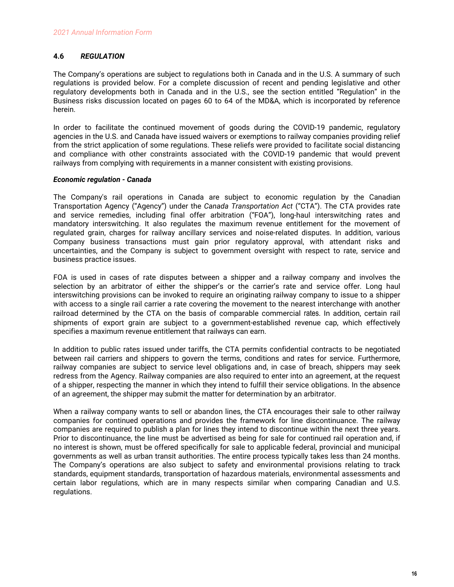## <span id="page-17-0"></span>**4.6** *REGULATION*

The Company's operations are subject to regulations both in Canada and in the U.S. A summary of such regulations is provided below. For a complete discussion of recent and pending legislative and other regulatory developments both in Canada and in the U.S., see the section entitled "Regulation" in the Business risks discussion located on pages 60 to 64 of the MD&A, which is incorporated by reference herein.

In order to facilitate the continued movement of goods during the COVID-19 pandemic, regulatory agencies in the U.S. and Canada have issued waivers or exemptions to railway companies providing relief from the strict application of some regulations. These reliefs were provided to facilitate social distancing and compliance with other constraints associated with the COVID-19 pandemic that would prevent railways from complying with requirements in a manner consistent with existing provisions.

## *Economic regulation - Canada*

The Company's rail operations in Canada are subject to economic regulation by the Canadian Transportation Agency ("Agency") under the *Canada Transportation Act* ("CTA"). The CTA provides rate and service remedies, including final offer arbitration ("FOA"), long-haul interswitching rates and mandatory interswitching. It also regulates the maximum revenue entitlement for the movement of regulated grain, charges for railway ancillary services and noise-related disputes. In addition, various Company business transactions must gain prior regulatory approval, with attendant risks and uncertainties, and the Company is subject to government oversight with respect to rate, service and business practice issues.

FOA is used in cases of rate disputes between a shipper and a railway company and involves the selection by an arbitrator of either the shipper's or the carrier's rate and service offer. Long haul interswitching provisions can be invoked to require an originating railway company to issue to a shipper with access to a single rail carrier a rate covering the movement to the nearest interchange with another railroad determined by the CTA on the basis of comparable commercial rates. In addition, certain rail shipments of export grain are subject to a government-established revenue cap, which effectively specifies a maximum revenue entitlement that railways can earn.

In addition to public rates issued under tariffs, the CTA permits confidential contracts to be negotiated between rail carriers and shippers to govern the terms, conditions and rates for service. Furthermore, railway companies are subject to service level obligations and, in case of breach, shippers may seek redress from the Agency. Railway companies are also required to enter into an agreement, at the request of a shipper, respecting the manner in which they intend to fulfill their service obligations. In the absence of an agreement, the shipper may submit the matter for determination by an arbitrator.

When a railway company wants to sell or abandon lines, the CTA encourages their sale to other railway companies for continued operations and provides the framework for line discontinuance. The railway companies are required to publish a plan for lines they intend to discontinue within the next three years. Prior to discontinuance, the line must be advertised as being for sale for continued rail operation and, if no interest is shown, must be offered specifically for sale to applicable federal, provincial and municipal governments as well as urban transit authorities. The entire process typically takes less than 24 months. The Company's operations are also subject to safety and environmental provisions relating to track standards, equipment standards, transportation of hazardous materials, environmental assessments and certain labor regulations, which are in many respects similar when comparing Canadian and U.S. regulations.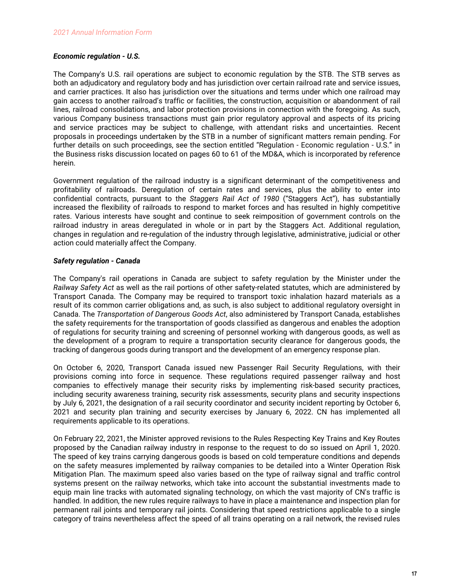## *Economic regulation - U.S.*

The Company's U.S. rail operations are subject to economic regulation by the STB. The STB serves as both an adjudicatory and regulatory body and has jurisdiction over certain railroad rate and service issues, and carrier practices. It also has jurisdiction over the situations and terms under which one railroad may gain access to another railroad's traffic or facilities, the construction, acquisition or abandonment of rail lines, railroad consolidations, and labor protection provisions in connection with the foregoing. As such, various Company business transactions must gain prior regulatory approval and aspects of its pricing and service practices may be subject to challenge, with attendant risks and uncertainties. Recent proposals in proceedings undertaken by the STB in a number of significant matters remain pending. For further details on such proceedings, see the section entitled "Regulation - Economic regulation - U.S." in the Business risks discussion located on pages 60 to 61 of the MD&A, which is incorporated by reference herein.

Government regulation of the railroad industry is a significant determinant of the competitiveness and profitability of railroads. Deregulation of certain rates and services, plus the ability to enter into confidential contracts, pursuant to the *Staggers Rail Act of 1980* ("Staggers Act"), has substantially increased the flexibility of railroads to respond to market forces and has resulted in highly competitive rates. Various interests have sought and continue to seek reimposition of government controls on the railroad industry in areas deregulated in whole or in part by the Staggers Act. Additional regulation, changes in regulation and re-regulation of the industry through legislative, administrative, judicial or other action could materially affect the Company.

## *Safety regulation - Canada*

The Company's rail operations in Canada are subject to safety regulation by the Minister under the *Railway Safety Act* as well as the rail portions of other safety-related statutes, which are administered by Transport Canada. The Company may be required to transport toxic inhalation hazard materials as a result of its common carrier obligations and, as such, is also subject to additional regulatory oversight in Canada. The *Transportation of Dangerous Goods Act*, also administered by Transport Canada, establishes the safety requirements for the transportation of goods classified as dangerous and enables the adoption of regulations for security training and screening of personnel working with dangerous goods, as well as the development of a program to require a transportation security clearance for dangerous goods, the tracking of dangerous goods during transport and the development of an emergency response plan.

On October 6, 2020, Transport Canada issued new Passenger Rail Security Regulations, with their provisions coming into force in sequence. These regulations required passenger railway and host companies to effectively manage their security risks by implementing risk-based security practices, including security awareness training, security risk assessments, security plans and security inspections by July 6, 2021, the designation of a rail security coordinator and security incident reporting by October 6, 2021 and security plan training and security exercises by January 6, 2022. CN has implemented all requirements applicable to its operations.

On February 22, 2021, the Minister approved revisions to the Rules Respecting Key Trains and Key Routes proposed by the Canadian railway industry in response to the request to do so issued on April 1, 2020. The speed of key trains carrying dangerous goods is based on cold temperature conditions and depends on the safety measures implemented by railway companies to be detailed into a Winter Operation Risk Mitigation Plan. The maximum speed also varies based on the type of railway signal and traffic control systems present on the railway networks, which take into account the substantial investments made to equip main line tracks with automated signaling technology, on which the vast majority of CN's traffic is handled. In addition, the new rules require railways to have in place a maintenance and inspection plan for permanent rail joints and temporary rail joints. Considering that speed restrictions applicable to a single category of trains nevertheless affect the speed of all trains operating on a rail network, the revised rules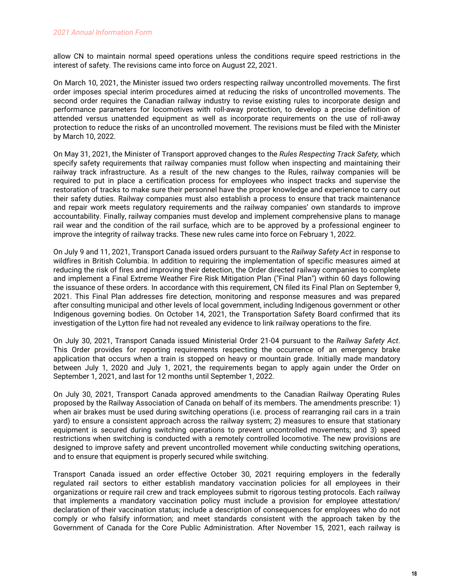allow CN to maintain normal speed operations unless the conditions require speed restrictions in the interest of safety. The revisions came into force on August 22, 2021.

On March 10, 2021, the Minister issued two orders respecting railway uncontrolled movements. The first order imposes special interim procedures aimed at reducing the risks of uncontrolled movements. The second order requires the Canadian railway industry to revise existing rules to incorporate design and performance parameters for locomotives with roll-away protection, to develop a precise definition of attended versus unattended equipment as well as incorporate requirements on the use of roll-away protection to reduce the risks of an uncontrolled movement. The revisions must be filed with the Minister by March 10, 2022.

On May 31, 2021, the Minister of Transport approved changes to the *Rules Respecting Track Safety,* which specify safety requirements that railway companies must follow when inspecting and maintaining their railway track infrastructure. As a result of the new changes to the Rules, railway companies will be required to put in place a certification process for employees who inspect tracks and supervise the restoration of tracks to make sure their personnel have the proper knowledge and experience to carry out their safety duties. Railway companies must also establish a process to ensure that track maintenance and repair work meets regulatory requirements and the railway companies' own standards to improve accountability. Finally, railway companies must develop and implement comprehensive plans to manage rail wear and the condition of the rail surface, which are to be approved by a professional engineer to improve the integrity of railway tracks. These new rules came into force on February 1, 2022.

On July 9 and 11, 2021, Transport Canada issued orders pursuant to the *Railway Safety Act* in response to wildfires in British Columbia. In addition to requiring the implementation of specific measures aimed at reducing the risk of fires and improving their detection, the Order directed railway companies to complete and implement a Final Extreme Weather Fire Risk Mitigation Plan ("Final Plan") within 60 days following the issuance of these orders. In accordance with this requirement, CN filed its Final Plan on September 9, 2021. This Final Plan addresses fire detection, monitoring and response measures and was prepared after consulting municipal and other levels of local government, including Indigenous government or other Indigenous governing bodies. On October 14, 2021, the Transportation Safety Board confirmed that its investigation of the Lytton fire had not revealed any evidence to link railway operations to the fire.

On July 30, 2021, Transport Canada issued Ministerial Order 21-04 pursuant to the *Railway Safety Act*. This Order provides for reporting requirements respecting the occurrence of an emergency brake application that occurs when a train is stopped on heavy or mountain grade. Initially made mandatory between July 1, 2020 and July 1, 2021, the requirements began to apply again under the Order on September 1, 2021, and last for 12 months until September 1, 2022.

On July 30, 2021, Transport Canada approved amendments to the Canadian Railway Operating Rules proposed by the Railway Association of Canada on behalf of its members. The amendments prescribe: 1) when air brakes must be used during switching operations (i.e. process of rearranging rail cars in a train yard) to ensure a consistent approach across the railway system; 2) measures to ensure that stationary equipment is secured during switching operations to prevent uncontrolled movements; and 3) speed restrictions when switching is conducted with a remotely controlled locomotive. The new provisions are designed to improve safety and prevent uncontrolled movement while conducting switching operations, and to ensure that equipment is properly secured while switching.

Transport Canada issued an order effective October 30, 2021 requiring employers in the federally regulated rail sectors to either establish mandatory vaccination policies for all employees in their organizations or require rail crew and track employees submit to rigorous testing protocols. Each railway that implements a mandatory vaccination policy must include a provision for employee attestation/ declaration of their vaccination status; include a description of consequences for employees who do not comply or who falsify information; and meet standards consistent with the approach taken by the Government of Canada for the Core Public Administration. After November 15, 2021, each railway is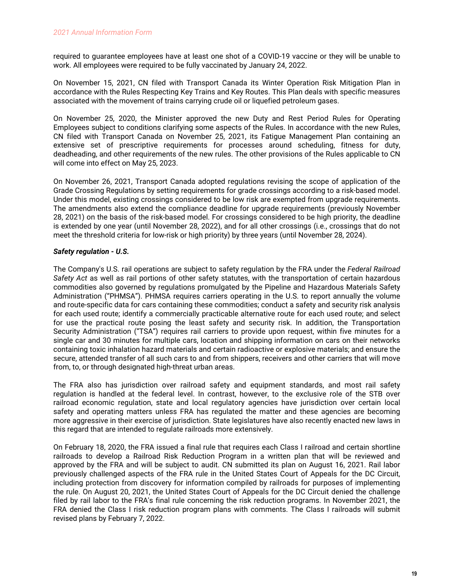required to guarantee employees have at least one shot of a COVID-19 vaccine or they will be unable to work. All employees were required to be fully vaccinated by January 24, 2022.

On November 15, 2021, CN filed with Transport Canada its Winter Operation Risk Mitigation Plan in accordance with the Rules Respecting Key Trains and Key Routes. This Plan deals with specific measures associated with the movement of trains carrying crude oil or liquefied petroleum gases.

On November 25, 2020, the Minister approved the new Duty and Rest Period Rules for Operating Employees subject to conditions clarifying some aspects of the Rules. In accordance with the new Rules, CN filed with Transport Canada on November 25, 2021, its Fatigue Management Plan containing an extensive set of prescriptive requirements for processes around scheduling, fitness for duty, deadheading, and other requirements of the new rules. The other provisions of the Rules applicable to CN will come into effect on May 25, 2023.

On November 26, 2021, Transport Canada adopted regulations revising the scope of application of the Grade Crossing Regulations by setting requirements for grade crossings according to a risk-based model. Under this model, existing crossings considered to be low risk are exempted from upgrade requirements. The amendments also extend the compliance deadline for upgrade requirements (previously November 28, 2021) on the basis of the risk-based model. For crossings considered to be high priority, the deadline is extended by one year (until November 28, 2022), and for all other crossings (i.e., crossings that do not meet the threshold criteria for low-risk or high priority) by three years (until November 28, 2024).

## *Safety regulation - U.S.*

The Company's U.S. rail operations are subject to safety regulation by the FRA under the *Federal Railroad Safety Act* as well as rail portions of other safety statutes, with the transportation of certain hazardous commodities also governed by regulations promulgated by the Pipeline and Hazardous Materials Safety Administration ("PHMSA"). PHMSA requires carriers operating in the U.S. to report annually the volume and route-specific data for cars containing these commodities; conduct a safety and security risk analysis for each used route; identify a commercially practicable alternative route for each used route; and select for use the practical route posing the least safety and security risk. In addition, the Transportation Security Administration ("TSA") requires rail carriers to provide upon request, within five minutes for a single car and 30 minutes for multiple cars, location and shipping information on cars on their networks containing toxic inhalation hazard materials and certain radioactive or explosive materials; and ensure the secure, attended transfer of all such cars to and from shippers, receivers and other carriers that will move from, to, or through designated high-threat urban areas.

The FRA also has jurisdiction over railroad safety and equipment standards, and most rail safety regulation is handled at the federal level. In contrast, however, to the exclusive role of the STB over railroad economic regulation, state and local regulatory agencies have jurisdiction over certain local safety and operating matters unless FRA has regulated the matter and these agencies are becoming more aggressive in their exercise of jurisdiction. State legislatures have also recently enacted new laws in this regard that are intended to regulate railroads more extensively.

On February 18, 2020, the FRA issued a final rule that requires each Class I railroad and certain shortline railroads to develop a Railroad Risk Reduction Program in a written plan that will be reviewed and approved by the FRA and will be subject to audit. CN submitted its plan on August 16, 2021. Rail labor previously challenged aspects of the FRA rule in the United States Court of Appeals for the DC Circuit, including protection from discovery for information compiled by railroads for purposes of implementing the rule. On August 20, 2021, the United States Court of Appeals for the DC Circuit denied the challenge filed by rail labor to the FRA's final rule concerning the risk reduction programs. In November 2021, the FRA denied the Class I risk reduction program plans with comments. The Class I railroads will submit revised plans by February 7, 2022.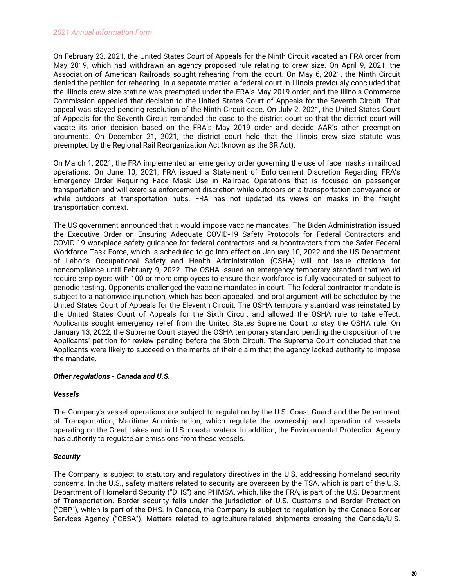On February 23, 2021, the United States Court of Appeals for the Ninth Circuit vacated an FRA order from May 2019, which had withdrawn an agency proposed rule relating to crew size. On April 9, 2021, the Association of American Railroads sought rehearing from the court. On May 6, 2021, the Ninth Circuit denied the petition for rehearing. In a separate matter, a federal court in Illinois previously concluded that the Illinois crew size statute was preempted under the FRA's May 2019 order, and the Illinois Commerce Commission appealed that decision to the United States Court of Appeals for the Seventh Circuit. That appeal was stayed pending resolution of the Ninth Circuit case. On July 2, 2021, the United States Court of Appeals for the Seventh Circuit remanded the case to the district court so that the district court will vacate its prior decision based on the FRA's May 2019 order and decide AAR's other preemption arguments. On December 21, 2021, the district court held that the Illinois crew size statute was preempted by the Regional Rail Reorganization Act (known as the 3R Act).

On March 1, 2021, the FRA implemented an emergency order governing the use of face masks in railroad operations. On June 10, 2021, FRA issued a Statement of Enforcement Discretion Regarding FRA's Emergency Order Requiring Face Mask Use in Railroad Operations that is focused on passenger transportation and will exercise enforcement discretion while outdoors on a transportation conveyance or while outdoors at transportation hubs. FRA has not updated its views on masks in the freight transportation context.

The US government announced that it would impose vaccine mandates. The Biden Administration issued the Executive Order on Ensuring Adequate COVID-19 Safety Protocols for Federal Contractors and COVID-19 workplace safety guidance for federal contractors and subcontractors from the Safer Federal Workforce Task Force, which is scheduled to go into effect on January 10, 2022 and the US Department of Labor's Occupational Safety and Health Administration (OSHA) will not issue citations for noncompliance until February 9, 2022. The OSHA issued an emergency temporary standard that would require employers with 100 or more employees to ensure their workforce is fully vaccinated or subject to periodic testing. Opponents challenged the vaccine mandates in court. The federal contractor mandate is subject to a nationwide injunction, which has been appealed, and oral argument will be scheduled by the United States Court of Appeals for the Eleventh Circuit. The OSHA temporary standard was reinstated by the United States Court of Appeals for the Sixth Circuit and allowed the OSHA rule to take effect. Applicants sought emergency relief from the United States Supreme Court to stay the OSHA rule. On January 13, 2022, the Supreme Court stayed the OSHA temporary standard pending the disposition of the Applicants' petition for review pending before the Sixth Circuit. The Supreme Court concluded that the Applicants were likely to succeed on the merits of their claim that the agency lacked authority to impose the mandate.

## *Other regulations - Canada and U.S.*

## *Vessels*

The Company's vessel operations are subject to regulation by the U.S. Coast Guard and the Department of Transportation, Maritime Administration, which regulate the ownership and operation of vessels operating on the Great Lakes and in U.S. coastal waters. In addition, the Environmental Protection Agency has authority to regulate air emissions from these vessels.

# *Security*

The Company is subject to statutory and regulatory directives in the U.S. addressing homeland security concerns. In the U.S., safety matters related to security are overseen by the TSA, which is part of the U.S. Department of Homeland Security ("DHS") and PHMSA, which, like the FRA, is part of the U.S. Department of Transportation. Border security falls under the jurisdiction of U.S. Customs and Border Protection ("CBP"), which is part of the DHS. In Canada, the Company is subject to regulation by the Canada Border Services Agency ("CBSA"). Matters related to agriculture-related shipments crossing the Canada/U.S.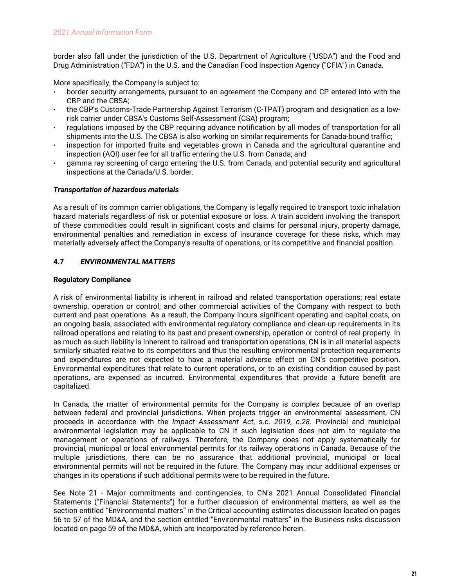<span id="page-22-0"></span>border also fall under the jurisdiction of the U.S. Department of Agriculture ("USDA") and the Food and Drug Administration ("FDA") in the U.S. and the Canadian Food Inspection Agency ("CFIA") in Canada.

More specifically, the Company is subject to:

- border security arrangements, pursuant to an agreement the Company and CP entered into with the CBP and the CBSA;
- the CBP's Customs-Trade Partnership Against Terrorism (C-TPAT) program and designation as a lowrisk carrier under CBSA's Customs Self-Assessment (CSA) program;
- regulations imposed by the CBP requiring advance notification by all modes of transportation for all shipments into the U.S. The CBSA is also working on similar requirements for Canada-bound traffic;
- inspection for imported fruits and vegetables grown in Canada and the agricultural quarantine and inspection (AQI) user fee for all traffic entering the U.S. from Canada; and
- gamma ray screening of cargo entering the U.S. from Canada, and potential security and agricultural inspections at the Canada/U.S. border.

## *Transportation of hazardous materials*

As a result of its common carrier obligations, the Company is legally required to transport toxic inhalation hazard materials regardless of risk or potential exposure or loss. A train accident involving the transport of these commodities could result in significant costs and claims for personal injury, property damage, environmental penalties and remediation in excess of insurance coverage for these risks, which may materially adversely affect the Company's results of operations, or its competitive and financial position.

# **4.7** *ENVIRONMENTAL MATTERS*

## **Regulatory Compliance**

A risk of environmental liability is inherent in railroad and related transportation operations; real estate ownership, operation or control; and other commercial activities of the Company with respect to both current and past operations. As a result, the Company incurs significant operating and capital costs, on an ongoing basis, associated with environmental regulatory compliance and clean-up requirements in its railroad operations and relating to its past and present ownership, operation or control of real property. In as much as such liability is inherent to railroad and transportation operations, CN is in all material aspects similarly situated relative to its competitors and thus the resulting environmental protection requirements and expenditures are not expected to have a material adverse effect on CN's competitive position. Environmental expenditures that relate to current operations, or to an existing condition caused by past operations, are expensed as incurred. Environmental expenditures that provide a future benefit are capitalized.

In Canada, the matter of environmental permits for the Company is complex because of an overlap between federal and provincial jurisdictions. When projects trigger an environmental assessment, CN proceeds in accordance with the *Impact Assessment Act*, s.c. *2019, c.28*. Provincial and municipal environmental legislation may be applicable to CN if such legislation does not aim to regulate the management or operations of railways. Therefore, the Company does not apply systematically for provincial, municipal or local environmental permits for its railway operations in Canada. Because of the multiple jurisdictions, there can be no assurance that additional provincial, municipal or local environmental permits will not be required in the future. The Company may incur additional expenses or changes in its operations if such additional permits were to be required in the future.

See Note 21 - Major commitments and contingencies, to CN's 2021 Annual Consolidated Financial Statements ("Financial Statements") for a further discussion of environmental matters, as well as the section entitled "Environmental matters" in the Critical accounting estimates discussion located on pages 56 to 57 of the MD&A, and the section entitled "Environmental matters" in the Business risks discussion located on page 59 of the MD&A, which are incorporated by reference herein.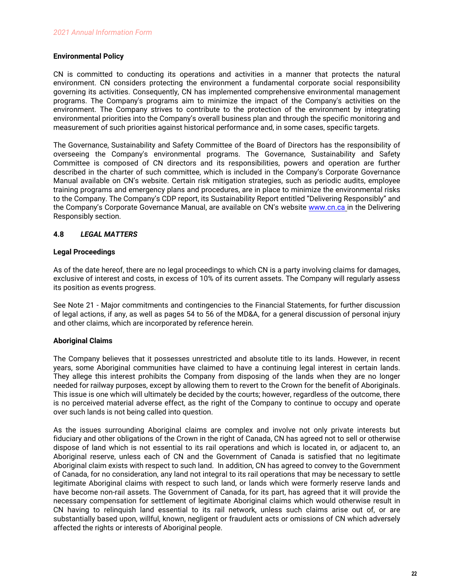## <span id="page-23-0"></span>**Environmental Policy**

CN is committed to conducting its operations and activities in a manner that protects the natural environment. CN considers protecting the environment a fundamental corporate social responsibility governing its activities. Consequently, CN has implemented comprehensive environmental management programs. The Company's programs aim to minimize the impact of the Company's activities on the environment. The Company strives to contribute to the protection of the environment by integrating environmental priorities into the Company's overall business plan and through the specific monitoring and measurement of such priorities against historical performance and, in some cases, specific targets.

The Governance, Sustainability and Safety Committee of the Board of Directors has the responsibility of overseeing the Company's environmental programs. The Governance, Sustainability and Safety Committee is composed of CN directors and its responsibilities, powers and operation are further described in the charter of such committee, which is included in the Company's Corporate Governance Manual available on CN's website. Certain risk mitigation strategies, such as periodic audits, employee training programs and emergency plans and procedures, are in place to minimize the environmental risks to the Company. The Company's CDP report, its Sustainability Report entitled "Delivering Responsibly" and the Company's Corporate Governance Manual, are available on CN's website [www.cn.ca](http://www.cn.ca) in the Delivering Responsibly section.

# **4.8** *LEGAL MATTERS*

## **Legal Proceedings**

As of the date hereof, there are no legal proceedings to which CN is a party involving claims for damages, exclusive of interest and costs, in excess of 10% of its current assets. The Company will regularly assess its position as events progress.

See Note 21 - Major commitments and contingencies to the Financial Statements, for further discussion of legal actions, if any, as well as pages 54 to 56 of the MD&A, for a general discussion of personal injury and other claims, which are incorporated by reference herein.

# **Aboriginal Claims**

The Company believes that it possesses unrestricted and absolute title to its lands. However, in recent years, some Aboriginal communities have claimed to have a continuing legal interest in certain lands. They allege this interest prohibits the Company from disposing of the lands when they are no longer needed for railway purposes, except by allowing them to revert to the Crown for the benefit of Aboriginals. This issue is one which will ultimately be decided by the courts; however, regardless of the outcome, there is no perceived material adverse effect, as the right of the Company to continue to occupy and operate over such lands is not being called into question.

As the issues surrounding Aboriginal claims are complex and involve not only private interests but fiduciary and other obligations of the Crown in the right of Canada, CN has agreed not to sell or otherwise dispose of land which is not essential to its rail operations and which is located in, or adjacent to, an Aboriginal reserve, unless each of CN and the Government of Canada is satisfied that no legitimate Aboriginal claim exists with respect to such land. In addition, CN has agreed to convey to the Government of Canada, for no consideration, any land not integral to its rail operations that may be necessary to settle legitimate Aboriginal claims with respect to such land, or lands which were formerly reserve lands and have become non-rail assets. The Government of Canada, for its part, has agreed that it will provide the necessary compensation for settlement of legitimate Aboriginal claims which would otherwise result in CN having to relinquish land essential to its rail network, unless such claims arise out of, or are substantially based upon, willful, known, negligent or fraudulent acts or omissions of CN which adversely affected the rights or interests of Aboriginal people.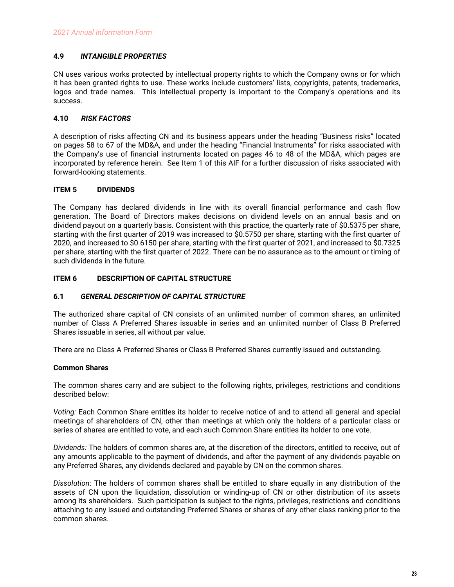# <span id="page-24-0"></span>**4.9** *INTANGIBLE PROPERTIES*

CN uses various works protected by intellectual property rights to which the Company owns or for which it has been granted rights to use. These works include customers' lists, copyrights, patents, trademarks, logos and trade names. This intellectual property is important to the Company's operations and its success.

# **4.10** *RISK FACTORS*

A description of risks affecting CN and its business appears under the heading "Business risks" located on pages 58 to 67 of the MD&A, and under the heading "Financial Instruments" for risks associated with the Company's use of financial instruments located on pages 46 to 48 of the MD&A, which pages are incorporated by reference herein. See Item 1 of this AIF for a further discussion of risks associated with forward-looking statements.

# **ITEM 5 DIVIDENDS**

The Company has declared dividends in line with its overall financial performance and cash flow generation. The Board of Directors makes decisions on dividend levels on an annual basis and on dividend payout on a quarterly basis. Consistent with this practice, the quarterly rate of \$0.5375 per share, starting with the first quarter of 2019 was increased to \$0.5750 per share, starting with the first quarter of 2020, and increased to \$0.6150 per share, starting with the first quarter of 2021, and increased to \$0.7325 per share, starting with the first quarter of 2022. There can be no assurance as to the amount or timing of such dividends in the future.

# **ITEM 6 DESCRIPTION OF CAPITAL STRUCTURE**

## **6.1** *GENERAL DESCRIPTION OF CAPITAL STRUCTURE*

The authorized share capital of CN consists of an unlimited number of common shares, an unlimited number of Class A Preferred Shares issuable in series and an unlimited number of Class B Preferred Shares issuable in series, all without par value.

There are no Class A Preferred Shares or Class B Preferred Shares currently issued and outstanding.

## **Common Shares**

The common shares carry and are subject to the following rights, privileges, restrictions and conditions described below:

*Voting:* Each Common Share entitles its holder to receive notice of and to attend all general and special meetings of shareholders of CN, other than meetings at which only the holders of a particular class or series of shares are entitled to vote, and each such Common Share entitles its holder to one vote.

*Dividends:* The holders of common shares are, at the discretion of the directors, entitled to receive, out of any amounts applicable to the payment of dividends, and after the payment of any dividends payable on any Preferred Shares, any dividends declared and payable by CN on the common shares.

*Dissolution*: The holders of common shares shall be entitled to share equally in any distribution of the assets of CN upon the liquidation, dissolution or winding-up of CN or other distribution of its assets among its shareholders. Such participation is subject to the rights, privileges, restrictions and conditions attaching to any issued and outstanding Preferred Shares or shares of any other class ranking prior to the common shares.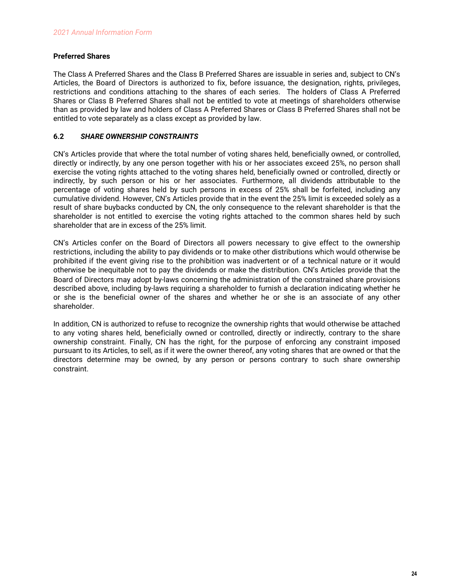# <span id="page-25-0"></span>**Preferred Shares**

The Class A Preferred Shares and the Class B Preferred Shares are issuable in series and, subject to CN's Articles, the Board of Directors is authorized to fix, before issuance, the designation, rights, privileges, restrictions and conditions attaching to the shares of each series. The holders of Class A Preferred Shares or Class B Preferred Shares shall not be entitled to vote at meetings of shareholders otherwise than as provided by law and holders of Class A Preferred Shares or Class B Preferred Shares shall not be entitled to vote separately as a class except as provided by law.

# **6.2** *SHARE OWNERSHIP CONSTRAINTS*

CN's Articles provide that where the total number of voting shares held, beneficially owned, or controlled, directly or indirectly, by any one person together with his or her associates exceed 25%, no person shall exercise the voting rights attached to the voting shares held, beneficially owned or controlled, directly or indirectly, by such person or his or her associates. Furthermore, all dividends attributable to the percentage of voting shares held by such persons in excess of 25% shall be forfeited, including any cumulative dividend. However, CN's Articles provide that in the event the 25% limit is exceeded solely as a result of share buybacks conducted by CN, the only consequence to the relevant shareholder is that the shareholder is not entitled to exercise the voting rights attached to the common shares held by such shareholder that are in excess of the 25% limit.

CN's Articles confer on the Board of Directors all powers necessary to give effect to the ownership restrictions, including the ability to pay dividends or to make other distributions which would otherwise be prohibited if the event giving rise to the prohibition was inadvertent or of a technical nature or it would otherwise be inequitable not to pay the dividends or make the distribution. CN's Articles provide that the Board of Directors may adopt by-laws concerning the administration of the constrained share provisions described above, including by-laws requiring a shareholder to furnish a declaration indicating whether he or she is the beneficial owner of the shares and whether he or she is an associate of any other shareholder.

In addition, CN is authorized to refuse to recognize the ownership rights that would otherwise be attached to any voting shares held, beneficially owned or controlled, directly or indirectly, contrary to the share ownership constraint. Finally, CN has the right, for the purpose of enforcing any constraint imposed pursuant to its Articles, to sell, as if it were the owner thereof, any voting shares that are owned or that the directors determine may be owned, by any person or persons contrary to such share ownership constraint.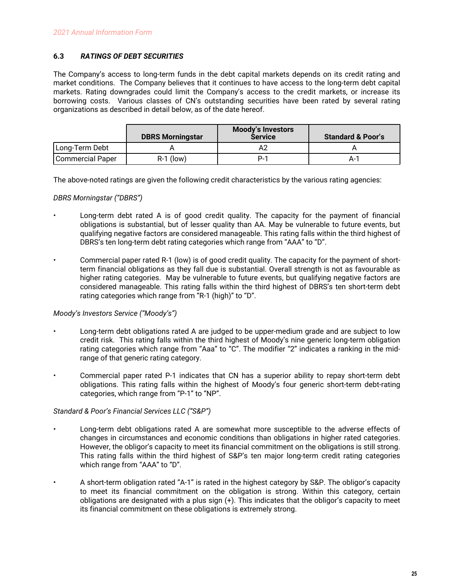# <span id="page-26-0"></span>**6.3** *RATINGS OF DEBT SECURITIES*

The Company's access to long-term funds in the debt capital markets depends on its credit rating and market conditions. The Company believes that it continues to have access to the long-term debt capital markets. Rating downgrades could limit the Company's access to the credit markets, or increase its borrowing costs. Various classes of CN's outstanding securities have been rated by several rating organizations as described in detail below, as of the date hereof.

|                  | <b>DBRS Morningstar</b> | <b>Moody's Investors</b><br><b>Service</b> | <b>Standard &amp; Poor's</b> |
|------------------|-------------------------|--------------------------------------------|------------------------------|
| Long-Term Debt   |                         |                                            |                              |
| Commercial Paper | $R-1$ (low)             | P-1                                        | A-1                          |

The above-noted ratings are given the following credit characteristics by the various rating agencies:

## *DBRS Morningstar ("DBRS")*

- Long-term debt rated A is of good credit quality. The capacity for the payment of financial obligations is substantial, but of lesser quality than AA. May be vulnerable to future events, but qualifying negative factors are considered manageable. This rating falls within the third highest of DBRS's ten long-term debt rating categories which range from "AAA" to "D".
- Commercial paper rated R-1 (low) is of good credit quality. The capacity for the payment of shortterm financial obligations as they fall due is substantial. Overall strength is not as favourable as higher rating categories. May be vulnerable to future events, but qualifying negative factors are considered manageable. This rating falls within the third highest of DBRS's ten short-term debt rating categories which range from "R-1 (high)" to "D".

# *Moody's Investors Service ("Moody's")*

- Long-term debt obligations rated A are judged to be upper-medium grade and are subject to low credit risk. This rating falls within the third highest of Moody's nine generic long-term obligation rating categories which range from "Aaa" to "C". The modifier "2" indicates a ranking in the midrange of that generic rating category.
- Commercial paper rated P-1 indicates that CN has a superior ability to repay short-term debt obligations. This rating falls within the highest of Moody's four generic short-term debt-rating categories, which range from "P-1" to "NP".

## *Standard & Poor's Financial Services LLC ("S&P")*

- Long-term debt obligations rated A are somewhat more susceptible to the adverse effects of changes in circumstances and economic conditions than obligations in higher rated categories. However, the obligor's capacity to meet its financial commitment on the obligations is still strong. This rating falls within the third highest of S&P's ten major long-term credit rating categories which range from "AAA" to "D".
- A short-term obligation rated "A-1" is rated in the highest category by S&P. The obligor's capacity to meet its financial commitment on the obligation is strong. Within this category, certain obligations are designated with a plus sign (+). This indicates that the obligor's capacity to meet its financial commitment on these obligations is extremely strong.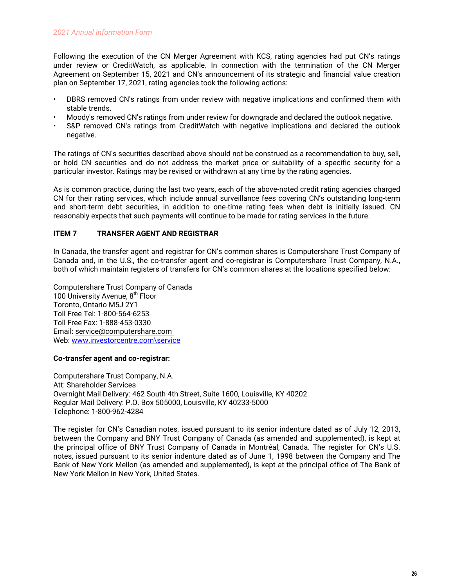<span id="page-27-0"></span>Following the execution of the CN Merger Agreement with KCS, rating agencies had put CN's ratings under review or CreditWatch, as applicable. In connection with the termination of the CN Merger Agreement on September 15, 2021 and CN's announcement of its strategic and financial value creation plan on September 17, 2021, rating agencies took the following actions:

- DBRS removed CN's ratings from under review with negative implications and confirmed them with stable trends.
- Moody's removed CN's ratings from under review for downgrade and declared the outlook negative.
- S&P removed CN's ratings from CreditWatch with negative implications and declared the outlook negative.

The ratings of CN's securities described above should not be construed as a recommendation to buy, sell, or hold CN securities and do not address the market price or suitability of a specific security for a particular investor. Ratings may be revised or withdrawn at any time by the rating agencies.

As is common practice, during the last two years, each of the above-noted credit rating agencies charged CN for their rating services, which include annual surveillance fees covering CN's outstanding long-term and short-term debt securities, in addition to one-time rating fees when debt is initially issued. CN reasonably expects that such payments will continue to be made for rating services in the future.

# **ITEM 7 TRANSFER AGENT AND REGISTRAR**

In Canada, the transfer agent and registrar for CN's common shares is Computershare Trust Company of Canada and, in the U.S., the co-transfer agent and co-registrar is Computershare Trust Company, N.A., both of which maintain registers of transfers for CN's common shares at the locations specified below:

Computershare Trust Company of Canada 100 University Avenue, 8<sup>th</sup> Floor Toronto, Ontario M5J 2Y1 Toll Free Tel: 1-800-564-6253 Toll Free Fax: 1-888-453-0330 Email: service@computershare.com Web: [www.investorcentre.com\service](http://www.investorcentre.com%5Cservice)

## **Co-transfer agent and co-registrar:**

Computershare Trust Company, N.A. Att: Shareholder Services Overnight Mail Delivery: 462 South 4th Street, Suite 1600, Louisville, KY 40202 Regular Mail Delivery: P.O. Box 505000, Louisville, KY 40233-5000 Telephone: 1-800-962-4284

The register for CN's Canadian notes, issued pursuant to its senior indenture dated as of July 12, 2013, between the Company and BNY Trust Company of Canada (as amended and supplemented), is kept at the principal office of BNY Trust Company of Canada in Montréal, Canada. The register for CN's U.S. notes, issued pursuant to its senior indenture dated as of June 1, 1998 between the Company and The Bank of New York Mellon (as amended and supplemented), is kept at the principal office of The Bank of New York Mellon in New York, United States.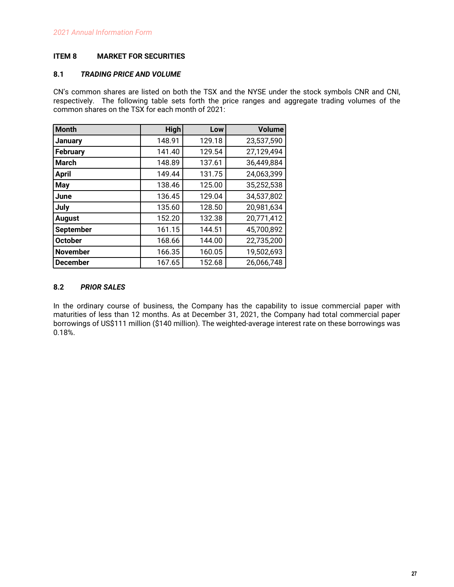# <span id="page-28-0"></span>**ITEM 8 MARKET FOR SECURITIES**

# **8.1** *TRADING PRICE AND VOLUME*

CN's common shares are listed on both the TSX and the NYSE under the stock symbols CNR and CNI, respectively. The following table sets forth the price ranges and aggregate trading volumes of the common shares on the TSX for each month of 2021:

| <b>Month</b>     | High   | Low    | <b>Volume</b> |
|------------------|--------|--------|---------------|
| <b>January</b>   | 148.91 | 129.18 | 23,537,590    |
| <b>February</b>  | 141.40 | 129.54 | 27,129,494    |
| <b>March</b>     | 148.89 | 137.61 | 36,449,884    |
| <b>April</b>     | 149.44 | 131.75 | 24,063,399    |
| <b>May</b>       | 138.46 | 125.00 | 35,252,538    |
| June             | 136.45 | 129.04 | 34,537,802    |
| July             | 135.60 | 128.50 | 20,981,634    |
| <b>August</b>    | 152.20 | 132.38 | 20,771,412    |
| <b>September</b> | 161.15 | 144.51 | 45,700,892    |
| <b>October</b>   | 168.66 | 144.00 | 22,735,200    |
| <b>November</b>  | 166.35 | 160.05 | 19,502,693    |
| <b>December</b>  | 167.65 | 152.68 | 26,066,748    |

# **8.2** *PRIOR SALES*

In the ordinary course of business, the Company has the capability to issue commercial paper with maturities of less than 12 months. As at December 31, 2021, the Company had total commercial paper borrowings of US\$111 million (\$140 million). The weighted-average interest rate on these borrowings was 0.18%.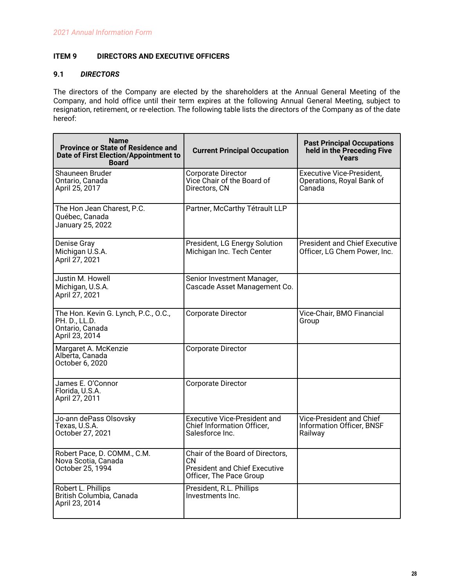# <span id="page-29-0"></span>**ITEM 9 DIRECTORS AND EXECUTIVE OFFICERS**

# **9.1** *DIRECTORS*

The directors of the Company are elected by the shareholders at the Annual General Meeting of the Company, and hold office until their term expires at the following Annual General Meeting, subject to resignation, retirement, or re-election. The following table lists the directors of the Company as of the date hereof:

| <b>Name</b><br><b>Province or State of Residence and</b><br><b>Date of First Election/Appointment to</b><br><b>Board</b> | <b>Current Principal Occupation</b>                                                                        | <b>Past Principal Occupations</b><br>held in the Preceding Five<br><b>Years</b> |
|--------------------------------------------------------------------------------------------------------------------------|------------------------------------------------------------------------------------------------------------|---------------------------------------------------------------------------------|
| Shauneen Bruder<br>Ontario, Canada<br>April 25, 2017                                                                     | Corporate Director<br>Vice Chair of the Board of<br>Directors, CN                                          | <b>Executive Vice-President,</b><br>Operations, Royal Bank of<br>Canada         |
| The Hon Jean Charest, P.C.<br>Québec, Canada<br>January 25, 2022                                                         | Partner, McCarthy Tétrault LLP                                                                             |                                                                                 |
| Denise Gray<br>Michigan U.S.A.<br>April 27, 2021                                                                         | President, LG Energy Solution<br>Michigan Inc. Tech Center                                                 | <b>President and Chief Executive</b><br>Officer, LG Chem Power, Inc.            |
| Justin M. Howell<br>Michigan, U.S.A.<br>April 27, 2021                                                                   | Senior Investment Manager,<br>Cascade Asset Management Co.                                                 |                                                                                 |
| The Hon. Kevin G. Lynch, P.C., O.C.,<br>PH. D., LL.D.<br>Ontario, Canada<br>April 23, 2014                               | Corporate Director                                                                                         | Vice-Chair, BMO Financial<br>Group                                              |
| Margaret A. McKenzie<br>Alberta, Canada<br>October 6, 2020                                                               | Corporate Director                                                                                         |                                                                                 |
| James E. O'Connor<br>Florida, U.S.A.<br>April 27, 2011                                                                   | Corporate Director                                                                                         |                                                                                 |
| Jo-ann dePass Olsovsky<br>Texas, U.S.A.<br>October 27, 2021                                                              | <b>Executive Vice-President and</b><br><b>Chief Information Officer.</b><br>Salesforce Inc.                | Vice-President and Chief<br>Information Officer, BNSF<br>Railway                |
| Robert Pace, D. COMM., C.M.<br>Nova Scotia, Canada<br>October 25, 1994                                                   | Chair of the Board of Directors,<br>CN.<br><b>President and Chief Executive</b><br>Officer, The Pace Group |                                                                                 |
| Robert L. Phillips<br>British Columbia, Canada<br>April 23, 2014                                                         | President, R.L. Phillips<br>Investments Inc.                                                               |                                                                                 |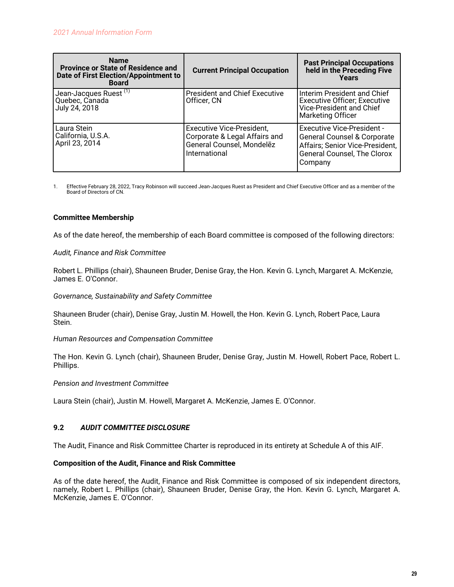<span id="page-30-0"></span>

| <b>Name</b><br><b>Province or State of Residence and</b><br>Date of First Election/Appointment to<br><b>Board</b> | <b>Current Principal Occupation</b>                                                                             | <b>Past Principal Occupations</b><br>held in the Preceding Five<br>Years                                                                      |
|-------------------------------------------------------------------------------------------------------------------|-----------------------------------------------------------------------------------------------------------------|-----------------------------------------------------------------------------------------------------------------------------------------------|
| Jean-Jacques Ruest <sup>(1)</sup><br>Quebec, Canada<br>July 24, 2018                                              | <b>President and Chief Executive</b><br>Officer, CN                                                             | Interim President and Chief<br><b>Executive Officer; Executive</b><br>Vice-President and Chief<br><b>Marketing Officer</b>                    |
| Laura Stein<br>California, U.S.A.<br>April 23, 2014                                                               | <b>Executive Vice-President,</b><br>Corporate & Legal Affairs and<br>General Counsel, Mondelez<br>International | Executive Vice-President -<br>General Counsel & Corporate<br>Affairs; Senior Vice-President,<br><b>General Counsel, The Clorox</b><br>Company |

1. Effective February 28, 2022, Tracy Robinson will succeed Jean-Jacques Ruest as President and Chief Executive Officer and as a member of the Board of Directors of CN.

## **Committee Membership**

As of the date hereof, the membership of each Board committee is composed of the following directors:

## *Audit, Finance and Risk Committee*

Robert L. Phillips (chair), Shauneen Bruder, Denise Gray, the Hon. Kevin G. Lynch, Margaret A. McKenzie, James E. O'Connor.

*Governance, Sustainability and Safety Committee*

Shauneen Bruder (chair), Denise Gray, Justin M. Howell, the Hon. Kevin G. Lynch, Robert Pace, Laura Stein.

*Human Resources and Compensation Committee*

The Hon. Kevin G. Lynch (chair), Shauneen Bruder, Denise Gray, Justin M. Howell, Robert Pace, Robert L. Phillips.

## *Pension and Investment Committee*

Laura Stein (chair), Justin M. Howell, Margaret A. McKenzie, James E. O'Connor.

## **9.2** *AUDIT COMMITTEE DISCLOSURE*

The Audit, Finance and Risk Committee Charter is reproduced in its entirety at Schedule A of this AIF.

#### **Composition of the Audit, Finance and Risk Committee**

As of the date hereof, the Audit, Finance and Risk Committee is composed of six independent directors, namely, Robert L. Phillips (chair), Shauneen Bruder, Denise Gray, the Hon. Kevin G. Lynch, Margaret A. McKenzie, James E. O'Connor.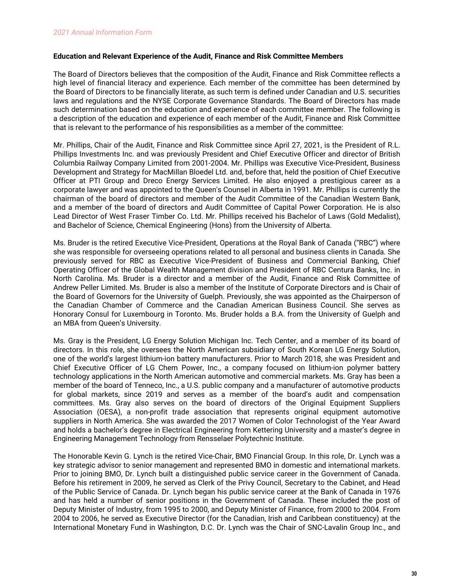## **Education and Relevant Experience of the Audit, Finance and Risk Committee Members**

The Board of Directors believes that the composition of the Audit, Finance and Risk Committee reflects a high level of financial literacy and experience. Each member of the committee has been determined by the Board of Directors to be financially literate, as such term is defined under Canadian and U.S. securities laws and regulations and the NYSE Corporate Governance Standards. The Board of Directors has made such determination based on the education and experience of each committee member. The following is a description of the education and experience of each member of the Audit, Finance and Risk Committee that is relevant to the performance of his responsibilities as a member of the committee:

Mr. Phillips, Chair of the Audit, Finance and Risk Committee since April 27, 2021, is the President of R.L. Phillips Investments Inc. and was previously President and Chief Executive Officer and director of British Columbia Railway Company Limited from 2001-2004. Mr. Phillips was Executive Vice-President, Business Development and Strategy for MacMillan Bloedel Ltd. and, before that, held the position of Chief Executive Officer at PTI Group and Dreco Energy Services Limited. He also enjoyed a prestigious career as a corporate lawyer and was appointed to the Queen's Counsel in Alberta in 1991. Mr. Phillips is currently the chairman of the board of directors and member of the Audit Committee of the Canadian Western Bank, and a member of the board of directors and Audit Committee of Capital Power Corporation. He is also Lead Director of West Fraser Timber Co. Ltd. Mr. Phillips received his Bachelor of Laws (Gold Medalist), and Bachelor of Science, Chemical Engineering (Hons) from the University of Alberta.

Ms. Bruder is the retired Executive Vice-President, Operations at the Royal Bank of Canada ("RBC") where she was responsible for overseeing operations related to all personal and business clients in Canada. She previously served for RBC as Executive Vice-President of Business and Commercial Banking, Chief Operating Officer of the Global Wealth Management division and President of RBC Centura Banks, Inc. in North Carolina. Ms. Bruder is a director and a member of the Audit, Finance and Risk Committee of Andrew Peller Limited. Ms. Bruder is also a member of the Institute of Corporate Directors and is Chair of the Board of Governors for the University of Guelph. Previously, she was appointed as the Chairperson of the Canadian Chamber of Commerce and the Canadian American Business Council. She serves as Honorary Consul for Luxembourg in Toronto. Ms. Bruder holds a B.A. from the University of Guelph and an MBA from Queen's University.

Ms. Gray is the President, LG Energy Solution Michigan Inc. Tech Center, and a member of its board of directors. In this role, she oversees the North American subsidiary of South Korean LG Energy Solution, one of the world's largest lithium-ion battery manufacturers. Prior to March 2018, she was President and Chief Executive Officer of LG Chem Power, Inc., a company focused on lithium-ion polymer battery technology applications in the North American automotive and commercial markets. Ms. Gray has been a member of the board of Tenneco, Inc., a U.S. public company and a manufacturer of automotive products for global markets, since 2019 and serves as a member of the board's audit and compensation committees. Ms. Gray also serves on the board of directors of the Original Equipment Suppliers Association (OESA), a non-profit trade association that represents original equipment automotive suppliers in North America. She was awarded the 2017 Women of Color Technologist of the Year Award and holds a bachelor's degree in Electrical Engineering from Kettering University and a master's degree in Engineering Management Technology from Rensselaer Polytechnic Institute.

The Honorable Kevin G. Lynch is the retired Vice-Chair, BMO Financial Group. In this role, Dr. Lynch was a key strategic advisor to senior management and represented BMO in domestic and international markets. Prior to joining BMO, Dr. Lynch built a distinguished public service career in the Government of Canada. Before his retirement in 2009, he served as Clerk of the Privy Council, Secretary to the Cabinet, and Head of the Public Service of Canada. Dr. Lynch began his public service career at the Bank of Canada in 1976 and has held a number of senior positions in the Government of Canada. These included the post of Deputy Minister of Industry, from 1995 to 2000, and Deputy Minister of Finance, from 2000 to 2004. From 2004 to 2006, he served as Executive Director (for the Canadian, Irish and Caribbean constituency) at the International Monetary Fund in Washington, D.C. Dr. Lynch was the Chair of SNC-Lavalin Group Inc., and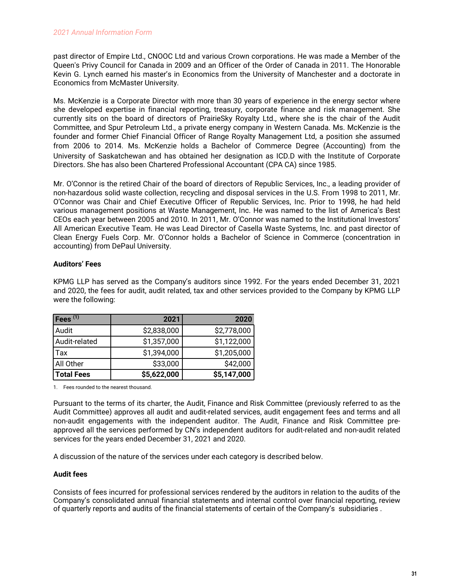past director of Empire Ltd., CNOOC Ltd and various Crown corporations. He was made a Member of the Queen's Privy Council for Canada in 2009 and an Officer of the Order of Canada in 2011. The Honorable Kevin G. Lynch earned his master's in Economics from the University of Manchester and a doctorate in Economics from McMaster University.

Ms. McKenzie is a Corporate Director with more than 30 years of experience in the energy sector where she developed expertise in financial reporting, treasury, corporate finance and risk management. She currently sits on the board of directors of PrairieSky Royalty Ltd., where she is the chair of the Audit Committee, and Spur Petroleum Ltd., a private energy company in Western Canada. Ms. McKenzie is the founder and former Chief Financial Officer of Range Royalty Management Ltd, a position she assumed from 2006 to 2014. Ms. McKenzie holds a Bachelor of Commerce Degree (Accounting) from the University of Saskatchewan and has obtained her designation as ICD.D with the Institute of Corporate Directors. She has also been Chartered Professional Accountant (CPA CA) since 1985.

Mr. O'Connor is the retired Chair of the board of directors of Republic Services, Inc., a leading provider of non-hazardous solid waste collection, recycling and disposal services in the U.S. From 1998 to 2011, Mr. O'Connor was Chair and Chief Executive Officer of Republic Services, Inc. Prior to 1998, he had held various management positions at Waste Management, Inc. He was named to the list of America's Best CEOs each year between 2005 and 2010. In 2011, Mr. O'Connor was named to the Institutional Investors' All American Executive Team. He was Lead Director of Casella Waste Systems, Inc. and past director of Clean Energy Fuels Corp. Mr. O'Connor holds a Bachelor of Science in Commerce (concentration in accounting) from DePaul University.

# **Auditors' Fees**

KPMG LLP has served as the Company's auditors since 1992. For the years ended December 31, 2021 and 2020, the fees for audit, audit related, tax and other services provided to the Company by KPMG LLP were the following:

| $\mathsf{Fees}^{(1)}$ | 2021        | 2020        |
|-----------------------|-------------|-------------|
| Audit                 | \$2,838,000 | \$2,778,000 |
| Audit-related         | \$1,357,000 | \$1,122,000 |
| Tax                   | \$1,394,000 | \$1,205,000 |
| All Other             | \$33,000    | \$42,000    |
| <b>Total Fees</b>     | \$5,622,000 | \$5,147,000 |

1. Fees rounded to the nearest thousand.

Pursuant to the terms of its charter, the Audit, Finance and Risk Committee (previously referred to as the Audit Committee) approves all audit and audit-related services, audit engagement fees and terms and all non-audit engagements with the independent auditor. The Audit, Finance and Risk Committee preapproved all the services performed by CN's independent auditors for audit-related and non-audit related services for the years ended December 31, 2021 and 2020.

A discussion of the nature of the services under each category is described below.

## **Audit fees**

Consists of fees incurred for professional services rendered by the auditors in relation to the audits of the Company's consolidated annual financial statements and internal control over financial reporting, review of quarterly reports and audits of the financial statements of certain of the Company's subsidiaries .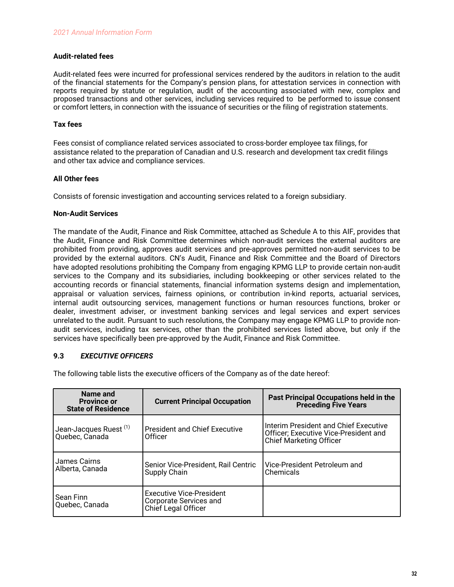## <span id="page-33-0"></span>**Audit-related fees**

Audit-related fees were incurred for professional services rendered by the auditors in relation to the audit of the financial statements for the Company's pension plans, for attestation services in connection with reports required by statute or regulation, audit of the accounting associated with new, complex and proposed transactions and other services, including services required to be performed to issue consent or comfort letters, in connection with the issuance of securities or the filing of registration statements.

## **Tax fees**

Fees consist of compliance related services associated to cross-border employee tax filings, for assistance related to the preparation of Canadian and U.S. research and development tax credit filings and other tax advice and compliance services.

## **All Other fees**

Consists of forensic investigation and accounting services related to a foreign subsidiary.

## **Non-Audit Services**

The mandate of the Audit, Finance and Risk Committee, attached as Schedule A to this AIF, provides that the Audit, Finance and Risk Committee determines which non-audit services the external auditors are prohibited from providing, approves audit services and pre-approves permitted non-audit services to be provided by the external auditors. CN's Audit, Finance and Risk Committee and the Board of Directors have adopted resolutions prohibiting the Company from engaging KPMG LLP to provide certain non-audit services to the Company and its subsidiaries, including bookkeeping or other services related to the accounting records or financial statements, financial information systems design and implementation, appraisal or valuation services, fairness opinions, or contribution in-kind reports, actuarial services, internal audit outsourcing services, management functions or human resources functions, broker or dealer, investment adviser, or investment banking services and legal services and expert services unrelated to the audit. Pursuant to such resolutions, the Company may engage KPMG LLP to provide nonaudit services, including tax services, other than the prohibited services listed above, but only if the services have specifically been pre-approved by the Audit, Finance and Risk Committee.

# **9.3** *EXECUTIVE OFFICERS*

The following table lists the executive officers of the Company as of the date hereof:

| Name and<br><b>Province or</b><br><b>State of Residence</b>                                         | <b>Current Principal Occupation</b>                                                     | Past Principal Occupations held in the<br><b>Preceding Five Years</b>                                     |
|-----------------------------------------------------------------------------------------------------|-----------------------------------------------------------------------------------------|-----------------------------------------------------------------------------------------------------------|
| $^{\text{\tiny{\textsf{I}}} }$ Jean-Jacques Ruest $^{\text{\tiny{\textsf{(1)}}}}$<br>Quebec, Canada | <b>President and Chief Executive</b><br>Officer                                         | Interim President and Chief Executive<br>Officer; Executive Vice-President and<br>Chief Marketing Officer |
| James Cairns<br>Alberta, Canada                                                                     | Senior Vice-President, Rail Centric<br>Supply Chain                                     | Vice-President Petroleum and<br>Chemicals                                                                 |
| Sean Finn<br>Quebec, Canada                                                                         | <b>Executive Vice-President</b><br><b>Corporate Services and</b><br>Chief Legal Officer |                                                                                                           |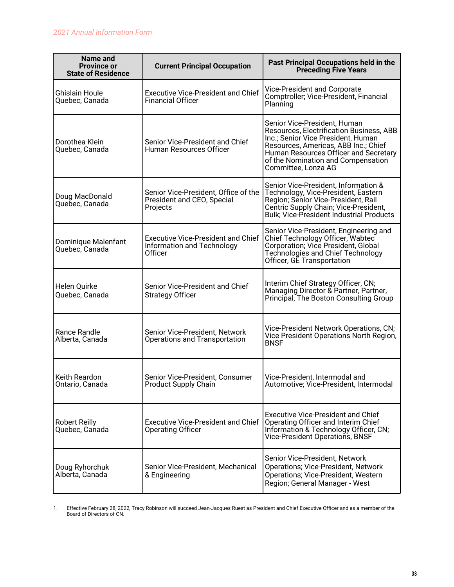| Name and<br><b>Province or</b><br><b>State of Residence</b> | <b>Current Principal Occupation</b>                                                | Past Principal Occupations held in the<br><b>Preceding Five Years</b>                                                                                                                                                                                        |
|-------------------------------------------------------------|------------------------------------------------------------------------------------|--------------------------------------------------------------------------------------------------------------------------------------------------------------------------------------------------------------------------------------------------------------|
| Ghislain Houle<br>Quebec, Canada                            | <b>Executive Vice-President and Chief</b><br><b>Financial Officer</b>              | Vice-President and Corporate<br>Comptroller; Vice-President, Financial<br>Planning                                                                                                                                                                           |
| Dorothea Klein<br>Quebec, Canada                            | Senior Vice-President and Chief<br>Human Resources Officer                         | Senior Vice-President, Human<br>Resources, Electrification Business, ABB<br>Inc.; Senior Vice President, Human<br>Resources, Americas, ABB Inc.; Chief<br>Human Resources Officer and Secretary<br>of the Nomination and Compensation<br>Committee, Lonza AG |
| Doug MacDonald<br>Quebec, Canada                            | Senior Vice-President, Office of the<br>President and CEO, Special<br>Projects     | Senior Vice-President, Information &<br>Technology, Vice-President, Eastern<br>Region; Senior Vice-President, Rail<br>Centric Supply Chain; Vice-President,<br><b>Bulk; Vice-President Industrial Products</b>                                               |
| Dominique Malenfant<br>Quebec, Canada                       | <b>Executive Vice-President and Chief</b><br>Information and Technology<br>Officer | Senior Vice-President, Engineering and<br>Chief Technology Officer, Wabtec<br>Corporation; Vice President, Global<br>Technologies and Chief Technology<br>Officer, GE Transportation                                                                         |
| Helen Quirke<br>Quebec, Canada                              | Senior Vice-President and Chief<br><b>Strategy Officer</b>                         | Interim Chief Strategy Officer, CN;<br>Managing Director & Partner, Partner,<br>Principal, The Boston Consulting Group                                                                                                                                       |
| Rance Randle<br>Alberta, Canada                             | Senior Vice-President, Network<br>Operations and Transportation                    | Vice-President Network Operations, CN;<br>Vice President Operations North Region,<br><b>BNSF</b>                                                                                                                                                             |
| Keith Reardon<br>Ontario, Canada                            | Senior Vice-President, Consumer<br><b>Product Supply Chain</b>                     | Vice-President, Intermodal and<br>Automotive; Vice-President, Intermodal                                                                                                                                                                                     |
| <b>Robert Reilly</b><br>Quebec, Canada                      | <b>Executive Vice-President and Chief</b><br><b>Operating Officer</b>              | <b>Executive Vice-President and Chief</b><br>Operating Officer and Interim Chief<br>Information & Technology Officer, CN;<br>Vice-President Operations, BNSF                                                                                                 |
| Doug Ryhorchuk<br>Alberta, Canada                           | Senior Vice-President, Mechanical<br>& Engineering                                 | Senior Vice-President, Network<br><b>Operations; Vice-President, Network</b><br>Operations; Vice-President, Western<br>Region; General Manager - West                                                                                                        |

1. Effective February 28, 2022, Tracy Robinson will succeed Jean-Jacques Ruest as President and Chief Executive Officer and as a member of the Board of Directors of CN.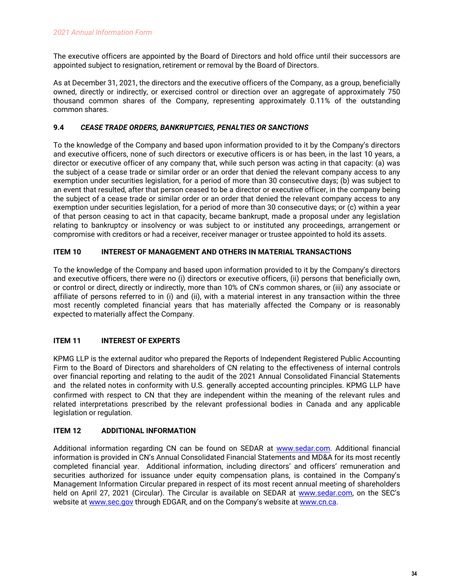<span id="page-35-0"></span>The executive officers are appointed by the Board of Directors and hold office until their successors are appointed subject to resignation, retirement or removal by the Board of Directors.

As at December 31, 2021, the directors and the executive officers of the Company, as a group, beneficially owned, directly or indirectly, or exercised control or direction over an aggregate of approximately 750 thousand common shares of the Company, representing approximately 0.11% of the outstanding common shares.

## **9.4** *CEASE TRADE ORDERS, BANKRUPTCIES, PENALTIES OR SANCTIONS*

To the knowledge of the Company and based upon information provided to it by the Company's directors and executive officers, none of such directors or executive officers is or has been, in the last 10 years, a director or executive officer of any company that, while such person was acting in that capacity: (a) was the subject of a cease trade or similar order or an order that denied the relevant company access to any exemption under securities legislation, for a period of more than 30 consecutive days; (b) was subject to an event that resulted, after that person ceased to be a director or executive officer, in the company being the subject of a cease trade or similar order or an order that denied the relevant company access to any exemption under securities legislation, for a period of more than 30 consecutive days; or (c) within a year of that person ceasing to act in that capacity, became bankrupt, made a proposal under any legislation relating to bankruptcy or insolvency or was subject to or instituted any proceedings, arrangement or compromise with creditors or had a receiver, receiver manager or trustee appointed to hold its assets.

# **ITEM 10 INTEREST OF MANAGEMENT AND OTHERS IN MATERIAL TRANSACTIONS**

To the knowledge of the Company and based upon information provided to it by the Company's directors and executive officers, there were no (i) directors or executive officers, (ii) persons that beneficially own, or control or direct, directly or indirectly, more than 10% of CN's common shares, or (iii) any associate or affiliate of persons referred to in (i) and (ii), with a material interest in any transaction within the three most recently completed financial years that has materially affected the Company or is reasonably expected to materially affect the Company.

# **ITEM 11 INTEREST OF EXPERTS**

KPMG LLP is the external auditor who prepared the Reports of Independent Registered Public Accounting Firm to the Board of Directors and shareholders of CN relating to the effectiveness of internal controls over financial reporting and relating to the audit of the 2021 Annual Consolidated Financial Statements and the related notes in conformity with U.S. generally accepted accounting principles. KPMG LLP have confirmed with respect to CN that they are independent within the meaning of the relevant rules and related interpretations prescribed by the relevant professional bodies in Canada and any applicable legislation or regulation.

# **ITEM 12 ADDITIONAL INFORMATION**

Additional information regarding CN can be found on SEDAR at [www.sedar.com.](http://www.sedar.com) Additional financial information is provided in CN's Annual Consolidated Financial Statements and MD&A for its most recently completed financial year. Additional information, including directors' and officers' remuneration and securities authorized for issuance under equity compensation plans, is contained in the Company's Management Information Circular prepared in respect of its most recent annual meeting of shareholders held on April 27, 2021 (Circular). The Circular is available on SEDAR at [www.sedar.com](http://www.sedar.com), on the SEC's website at [www.sec.gov](http://www.sec.gov) through EDGAR, and on the Company's website at [www.cn.ca.](http://www.cn.ca)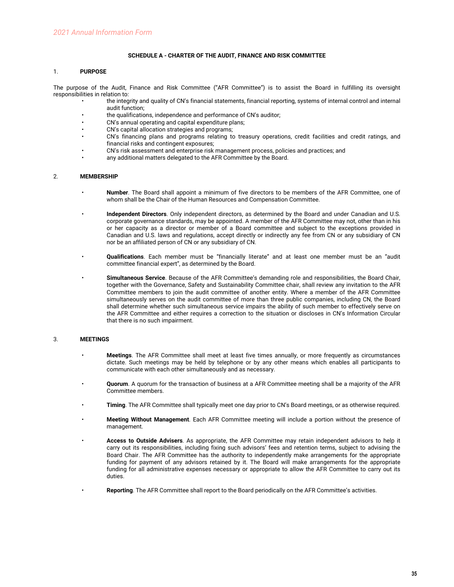#### **SCHEDULE A - CHARTER OF THE AUDIT, FINANCE AND RISK COMMITTEE**

#### <span id="page-36-0"></span>1. **PURPOSE**

The purpose of the Audit, Finance and Risk Committee ("AFR Committee") is to assist the Board in fulfilling its oversight responsibilities in relation to:

- the integrity and quality of CN's financial statements, financial reporting, systems of internal control and internal audit function;
- the qualifications, independence and performance of CN's auditor;
- CN's annual operating and capital expenditure plans;
- CN's capital allocation strategies and programs;
- CN's financing plans and programs relating to treasury operations, credit facilities and credit ratings, and financial risks and contingent exposures;
- CN's risk assessment and enterprise risk management process, policies and practices; and
- any additional matters delegated to the AFR Committee by the Board.

#### 2. **MEMBERSHIP**

- **Number**. The Board shall appoint a minimum of five directors to be members of the AFR Committee, one of whom shall be the Chair of the Human Resources and Compensation Committee.
- **Independent Directors**. Only independent directors, as determined by the Board and under Canadian and U.S. corporate governance standards, may be appointed. A member of the AFR Committee may not, other than in his or her capacity as a director or member of a Board committee and subject to the exceptions provided in Canadian and U.S. laws and regulations, accept directly or indirectly any fee from CN or any subsidiary of CN nor be an affiliated person of CN or any subsidiary of CN.
- **Qualifications**. Each member must be "financially literate" and at least one member must be an "audit committee financial expert", as determined by the Board.
- **Simultaneous Service**. Because of the AFR Committee's demanding role and responsibilities, the Board Chair, together with the Governance, Safety and Sustainability Committee chair, shall review any invitation to the AFR Committee members to join the audit committee of another entity. Where a member of the AFR Committee simultaneously serves on the audit committee of more than three public companies, including CN, the Board shall determine whether such simultaneous service impairs the ability of such member to effectively serve on the AFR Committee and either requires a correction to the situation or discloses in CN's Information Circular that there is no such impairment.

#### 3. **MEETINGS**

- **Meetings**. The AFR Committee shall meet at least five times annually, or more frequently as circumstances dictate. Such meetings may be held by telephone or by any other means which enables all participants to communicate with each other simultaneously and as necessary.
- **Quorum**. A quorum for the transaction of business at a AFR Committee meeting shall be a majority of the AFR Committee members.
- **Timing**. The AFR Committee shall typically meet one day prior to CN's Board meetings, or as otherwise required.
- **Meeting Without Management**. Each AFR Committee meeting will include a portion without the presence of management.
- **Access to Outside Advisers**. As appropriate, the AFR Committee may retain independent advisors to help it carry out its responsibilities, including fixing such advisors' fees and retention terms, subject to advising the Board Chair. The AFR Committee has the authority to independently make arrangements for the appropriate funding for payment of any advisors retained by it. The Board will make arrangements for the appropriate funding for all administrative expenses necessary or appropriate to allow the AFR Committee to carry out its duties.
	- **Reporting**. The AFR Committee shall report to the Board periodically on the AFR Committee's activities.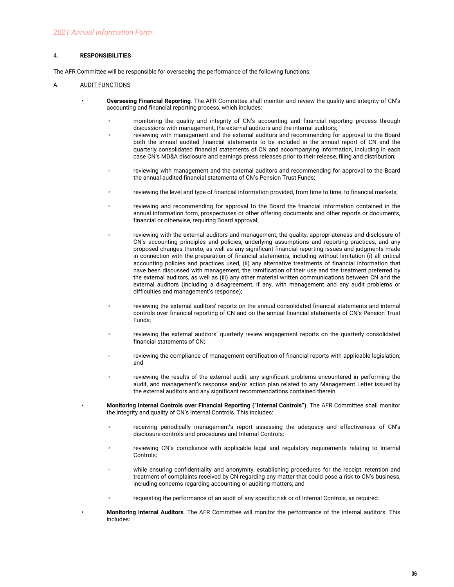#### 4. **RESPONSIBILITIES**

The AFR Committee will be responsible for overseeing the performance of the following functions:

#### A. AUDIT FUNCTIONS

- **Overseeing Financial Reporting**. The AFR Committee shall monitor and review the quality and integrity of CN's accounting and financial reporting process, which includes:
	- monitoring the quality and integrity of CN's accounting and financial reporting process through discussions with management, the external auditors and the internal auditors;
	- reviewing with management and the external auditors and recommending for approval to the Board both the annual audited financial statements to be included in the annual report of CN and the quarterly consolidated financial statements of CN and accompanying information, including in each case CN's MD&A disclosure and earnings press releases prior to their release, filing and distribution;
	- reviewing with management and the external auditors and recommending for approval to the Board the annual audited financial statements of CN's Pension Trust Funds;
	- reviewing the level and type of financial information provided, from time to time, to financial markets;
	- reviewing and recommending for approval to the Board the financial information contained in the annual information form, prospectuses or other offering documents and other reports or documents, financial or otherwise, requiring Board approval;
	- reviewing with the external auditors and management, the quality, appropriateness and disclosure of CN's accounting principles and policies, underlying assumptions and reporting practices, and any proposed changes thereto, as well as any significant financial reporting issues and judgments made in connection with the preparation of financial statements, including without limitation (i) all critical accounting policies and practices used, (ii) any alternative treatments of financial information that have been discussed with management, the ramification of their use and the treatment preferred by the external auditors, as well as (iii) any other material written communications between CN and the external auditors (including a disagreement, if any, with management and any audit problems or difficulties and management's response);
	- reviewing the external auditors' reports on the annual consolidated financial statements and internal controls over financial reporting of CN and on the annual financial statements of CN's Pension Trust Funds;
	- reviewing the external auditors' quarterly review engagement reports on the quarterly consolidated financial statements of CN;
	- reviewing the compliance of management certification of financial reports with applicable legislation; and
	- reviewing the results of the external audit, any significant problems encountered in performing the audit, and management's response and/or action plan related to any Management Letter issued by the external auditors and any significant recommendations contained therein.
	- **Monitoring Internal Controls over Financial Reporting ("Internal Controls")**. The AFR Committee shall monitor the integrity and quality of CN's Internal Controls. This includes:
		- receiving periodically management's report assessing the adequacy and effectiveness of CN's disclosure controls and procedures and Internal Controls;
		- reviewing CN's compliance with applicable legal and regulatory requirements relating to Internal Controls;
		- while ensuring confidentiality and anonymity, establishing procedures for the receipt, retention and treatment of complaints received by CN regarding any matter that could pose a risk to CN's business, including concerns regarding accounting or auditing matters; and
		- requesting the performance of an audit of any specific risk or of Internal Controls, as required.
- **Monitoring Internal Auditors**. The AFR Committee will monitor the performance of the internal auditors. This includes: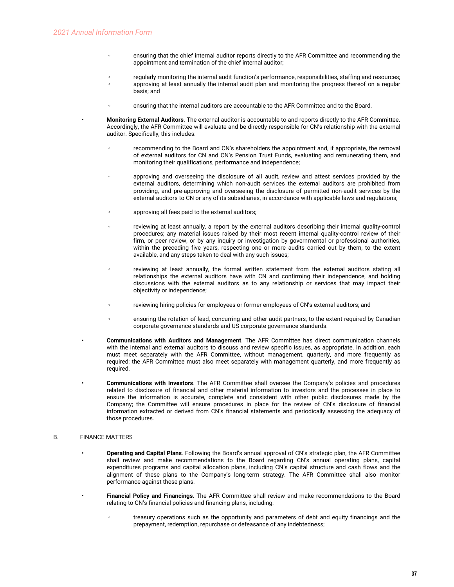- ensuring that the chief internal auditor reports directly to the AFR Committee and recommending the appointment and termination of the chief internal auditor;
- regularly monitoring the internal audit function's performance, responsibilities, staffing and resources;
- approving at least annually the internal audit plan and monitoring the progress thereof on a regular basis; and
- ensuring that the internal auditors are accountable to the AFR Committee and to the Board.
- **Monitoring External Auditors**. The external auditor is accountable to and reports directly to the AFR Committee. Accordingly, the AFR Committee will evaluate and be directly responsible for CN's relationship with the external auditor. Specifically, this includes:
	- recommending to the Board and CN's shareholders the appointment and, if appropriate, the removal of external auditors for CN and CN's Pension Trust Funds, evaluating and remunerating them, and monitoring their qualifications, performance and independence;
	- approving and overseeing the disclosure of all audit, review and attest services provided by the external auditors, determining which non-audit services the external auditors are prohibited from providing, and pre-approving and overseeing the disclosure of permitted non-audit services by the external auditors to CN or any of its subsidiaries, in accordance with applicable laws and regulations;
	- approving all fees paid to the external auditors;
	- reviewing at least annually, a report by the external auditors describing their internal quality-control procedures; any material issues raised by their most recent internal quality-control review of their firm, or peer review, or by any inquiry or investigation by governmental or professional authorities, within the preceding five years, respecting one or more audits carried out by them, to the extent available, and any steps taken to deal with any such issues;
	- reviewing at least annually, the formal written statement from the external auditors stating all relationships the external auditors have with CN and confirming their independence, and holding discussions with the external auditors as to any relationship or services that may impact their objectivity or independence;
	- reviewing hiring policies for employees or former employees of CN's external auditors; and
	- ensuring the rotation of lead, concurring and other audit partners, to the extent required by Canadian corporate governance standards and US corporate governance standards.
- **Communications with Auditors and Management**. The AFR Committee has direct communication channels with the internal and external auditors to discuss and review specific issues, as appropriate. In addition, each must meet separately with the AFR Committee, without management, quarterly, and more frequently as required; the AFR Committee must also meet separately with management quarterly, and more frequently as required.
- **Communications with Investors**. The AFR Committee shall oversee the Company's policies and procedures related to disclosure of financial and other material information to investors and the processes in place to ensure the information is accurate, complete and consistent with other public disclosures made by the Company; the Committee will ensure procedures in place for the review of CN's disclosure of financial information extracted or derived from CN's financial statements and periodically assessing the adequacy of those procedures.

#### B. **FINANCE MATTERS**

- **Operating and Capital Plans**. Following the Board's annual approval of CN's strategic plan, the AFR Committee shall review and make recommendations to the Board regarding CN's annual operating plans, capital expenditures programs and capital allocation plans, including CN's capital structure and cash flows and the alignment of these plans to the Company's long-term strategy. The AFR Committee shall also monitor performance against these plans.
- **Financial Policy and Financings**. The AFR Committee shall review and make recommendations to the Board relating to CN's financial policies and financing plans, including:
	- treasury operations such as the opportunity and parameters of debt and equity financings and the prepayment, redemption, repurchase or defeasance of any indebtedness;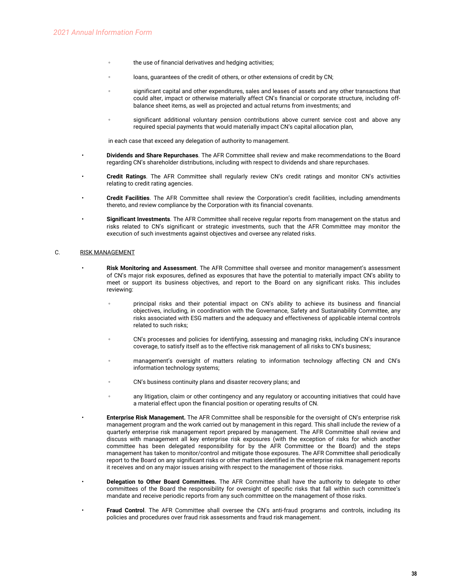- the use of financial derivatives and hedging activities;
- loans, guarantees of the credit of others, or other extensions of credit by CN;
- significant capital and other expenditures, sales and leases of assets and any other transactions that could alter, impact or otherwise materially affect CN's financial or corporate structure, including offbalance sheet items, as well as projected and actual returns from investments; and
- significant additional voluntary pension contributions above current service cost and above any required special payments that would materially impact CN's capital allocation plan,

in each case that exceed any delegation of authority to management.

- **Dividends and Share Repurchases**. The AFR Committee shall review and make recommendations to the Board regarding CN's shareholder distributions, including with respect to dividends and share repurchases.
- **Credit Ratings**. The AFR Committee shall regularly review CN's credit ratings and monitor CN's activities relating to credit rating agencies.
- **Credit Facilities**. The AFR Committee shall review the Corporation's credit facilities, including amendments thereto, and review compliance by the Corporation with its financial covenants.
- **Significant Investments**. The AFR Committee shall receive regular reports from management on the status and risks related to CN's significant or strategic investments, such that the AFR Committee may monitor the execution of such investments against objectives and oversee any related risks.

#### C. RISK MANAGEMENT

- **Risk Monitoring and Assessment**. The AFR Committee shall oversee and monitor management's assessment of CN's major risk exposures, defined as exposures that have the potential to materially impact CN's ability to meet or support its business objectives, and report to the Board on any significant risks. This includes reviewing:
	- principal risks and their potential impact on CN's ability to achieve its business and financial objectives, including, in coordination with the Governance, Safety and Sustainability Committee, any risks associated with ESG matters and the adequacy and effectiveness of applicable internal controls related to such risks;
	- CN's processes and policies for identifying, assessing and managing risks, including CN's insurance coverage, to satisfy itself as to the effective risk management of all risks to CN's business;
	- management's oversight of matters relating to information technology affecting CN and CN's information technology systems;
	- CN's business continuity plans and disaster recovery plans; and
	- any litigation, claim or other contingency and any regulatory or accounting initiatives that could have a material effect upon the financial position or operating results of CN.
- **Enterprise Risk Management.** The AFR Committee shall be responsible for the oversight of CN's enterprise risk management program and the work carried out by management in this regard. This shall include the review of a quarterly enterprise risk management report prepared by management. The AFR Committee shall review and discuss with management all key enterprise risk exposures (with the exception of risks for which another committee has been delegated responsibility for by the AFR Committee or the Board) and the steps management has taken to monitor/control and mitigate those exposures. The AFR Committee shall periodically report to the Board on any significant risks or other matters identified in the enterprise risk management reports it receives and on any major issues arising with respect to the management of those risks.
- **Delegation to Other Board Committees.** The AFR Committee shall have the authority to delegate to other committees of the Board the responsibility for oversight of specific risks that fall within such committee's mandate and receive periodic reports from any such committee on the management of those risks.
- **Fraud Control**. The AFR Committee shall oversee the CN's anti-fraud programs and controls, including its policies and procedures over fraud risk assessments and fraud risk management.